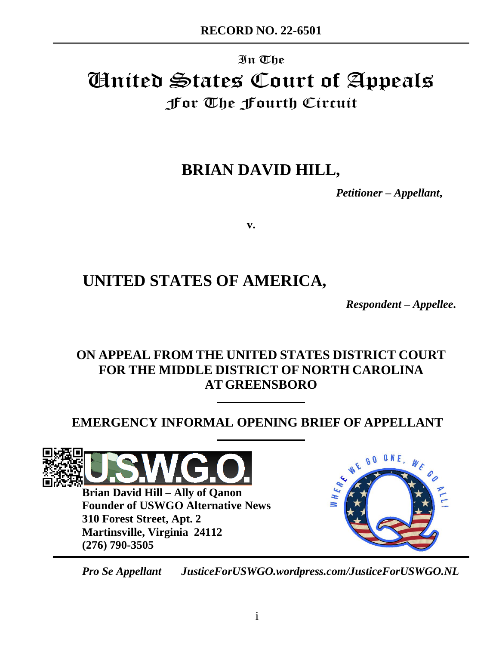# In The United States Court of Appeals For The Fourth Circuit

# **BRIAN DAVID HILL,**

*Petitioner – Appellant***,** 

**v.**

# **UNITED STATES OF AMERICA,**

*Respondent – Appellee***.**

# **ON APPEAL FROM THE UNITED STATES DISTRICT COURT FOR THE MIDDLE DISTRICT OF NORTH CAROLINA AT GREENSBORO**

# **EMERGENCY INFORMAL OPENING BRIEF OF APPELLANT**



**Brian David Hill – Ally of Qanon Founder of USWGO Alternative News 310 Forest Street, Apt. 2 Martinsville, Virginia 24112 (276) 790-3505**



*Pro Se Appellant JusticeForUSWGO.wordpress.com/JusticeForUSWGO.NL*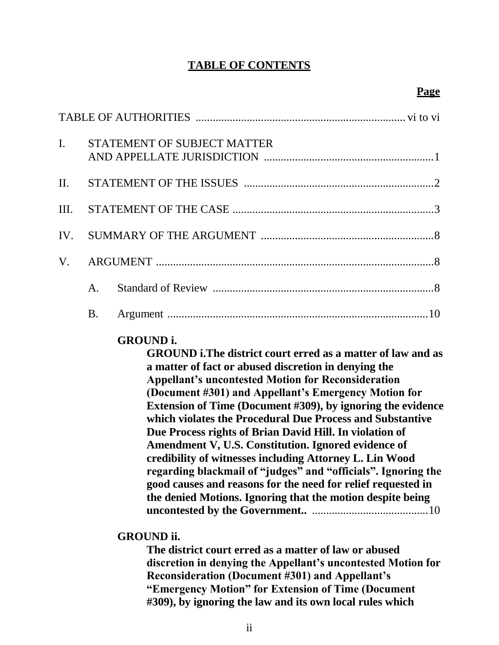## **TABLE OF CONTENTS**

| $\mathbf{I}$ . |  | STATEMENT OF SUBJECT MATTER |  |  |  |
|----------------|--|-----------------------------|--|--|--|
|                |  |                             |  |  |  |
|                |  |                             |  |  |  |
|                |  |                             |  |  |  |
|                |  |                             |  |  |  |
|                |  |                             |  |  |  |
|                |  |                             |  |  |  |

## **GROUND i.**

**GROUND i.The district court erred as a matter of law and as a matter of fact or abused discretion in denying the Appellant's uncontested Motion for Reconsideration (Document #301) and Appellant's Emergency Motion for Extension of Time (Document #309), by ignoring the evidence which violates the Procedural Due Process and Substantive Due Process rights of Brian David Hill. In violation of Amendment V, U.S. Constitution. Ignored evidence of credibility of witnesses including Attorney L. Lin Wood regarding blackmail of "judges" and "officials". Ignoring the good causes and reasons for the need for relief requested in the denied Motions. Ignoring that the motion despite being uncontested by the Government..** .........................................10

## **GROUND ii.**

**The district court erred as a matter of law or abused discretion in denying the Appellant's uncontested Motion for Reconsideration (Document #301) and Appellant's "Emergency Motion" for Extension of Time (Document #309), by ignoring the law and its own local rules which**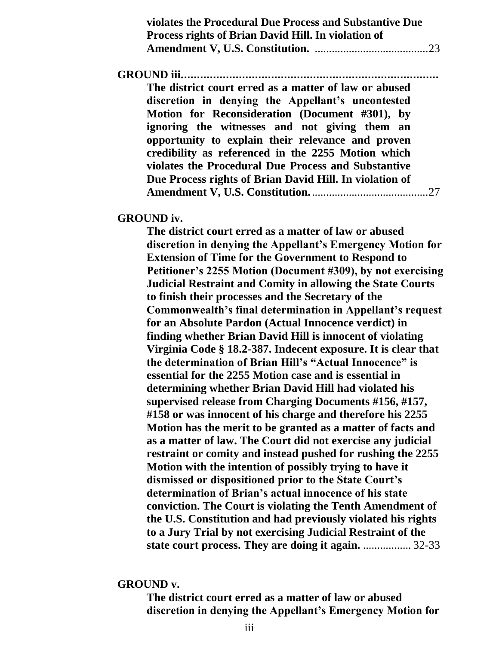| violates the Procedural Due Process and Substantive Due<br>Process rights of Brian David Hill. In violation of |     |
|----------------------------------------------------------------------------------------------------------------|-----|
|                                                                                                                |     |
|                                                                                                                |     |
| The district court erred as a matter of law or abused<br>discretion in denying the Appellant's uncontested     |     |
| Motion for Reconsideration (Document #301), by<br>ignoring the witnesses and not giving them an                |     |
| opportunity to explain their relevance and proven                                                              |     |
| credibility as referenced in the 2255 Motion which<br>violates the Procedural Due Process and Substantive      |     |
| Due Process rights of Brian David Hill. In violation of                                                        |     |
|                                                                                                                | .27 |

**GROUND iv.**

**The district court erred as a matter of law or abused discretion in denying the Appellant's Emergency Motion for Extension of Time for the Government to Respond to Petitioner's 2255 Motion (Document #309), by not exercising Judicial Restraint and Comity in allowing the State Courts to finish their processes and the Secretary of the Commonwealth's final determination in Appellant's request for an Absolute Pardon (Actual Innocence verdict) in finding whether Brian David Hill is innocent of violating Virginia Code § 18.2-387. Indecent exposure. It is clear that the determination of Brian Hill's "Actual Innocence" is essential for the 2255 Motion case and is essential in determining whether Brian David Hill had violated his supervised release from Charging Documents #156, #157, #158 or was innocent of his charge and therefore his 2255 Motion has the merit to be granted as a matter of facts and as a matter of law. The Court did not exercise any judicial restraint or comity and instead pushed for rushing the 2255 Motion with the intention of possibly trying to have it dismissed or dispositioned prior to the State Court's determination of Brian's actual innocence of his state conviction. The Court is violating the Tenth Amendment of the U.S. Constitution and had previously violated his rights to a Jury Trial by not exercising Judicial Restraint of the state court process. They are doing it again.** ................. 32-33

#### **GROUND v.**

**The district court erred as a matter of law or abused discretion in denying the Appellant's Emergency Motion for**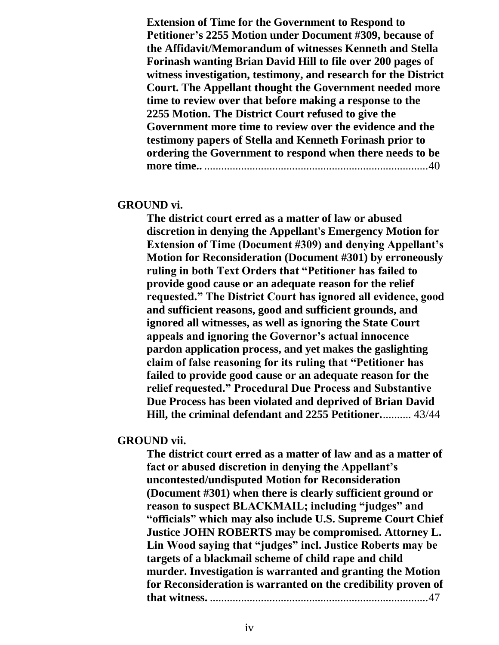**Extension of Time for the Government to Respond to Petitioner's 2255 Motion under Document #309, because of the Affidavit/Memorandum of witnesses Kenneth and Stella Forinash wanting Brian David Hill to file over 200 pages of witness investigation, testimony, and research for the District Court. The Appellant thought the Government needed more time to review over that before making a response to the 2255 Motion. The District Court refused to give the Government more time to review over the evidence and the testimony papers of Stella and Kenneth Forinash prior to ordering the Government to respond when there needs to be more time..** ...............................................................................40

#### **GROUND vi.**

**The district court erred as a matter of law or abused discretion in denying the Appellant's Emergency Motion for Extension of Time (Document #309) and denying Appellant's Motion for Reconsideration (Document #301) by erroneously ruling in both Text Orders that "Petitioner has failed to provide good cause or an adequate reason for the relief requested." The District Court has ignored all evidence, good and sufficient reasons, good and sufficient grounds, and ignored all witnesses, as well as ignoring the State Court appeals and ignoring the Governor's actual innocence pardon application process, and yet makes the gaslighting claim of false reasoning for its ruling that "Petitioner has failed to provide good cause or an adequate reason for the relief requested." Procedural Due Process and Substantive Due Process has been violated and deprived of Brian David Hill, the criminal defendant and 2255 Petitioner.**.......... 43/44

### **GROUND vii.**

**The district court erred as a matter of law and as a matter of fact or abused discretion in denying the Appellant's uncontested/undisputed Motion for Reconsideration (Document #301) when there is clearly sufficient ground or reason to suspect BLACKMAIL; including "judges" and "officials" which may also include U.S. Supreme Court Chief Justice JOHN ROBERTS may be compromised. Attorney L. Lin Wood saying that "judges" incl. Justice Roberts may be targets of a blackmail scheme of child rape and child murder. Investigation is warranted and granting the Motion for Reconsideration is warranted on the credibility proven of that witness.** .............................................................................47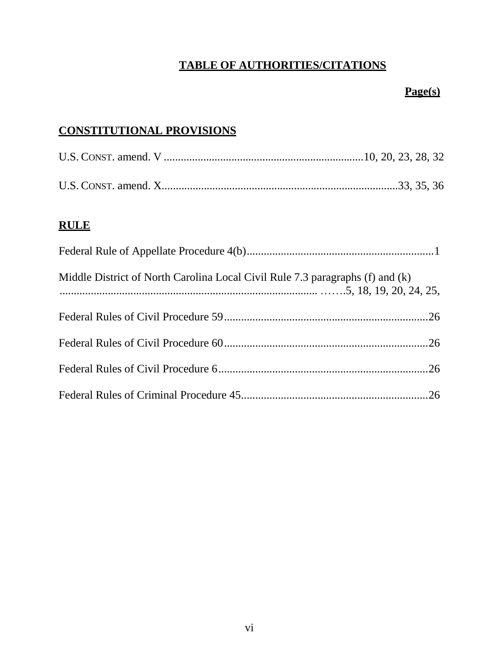# **TABLE OF AUTHORITIES/CITATIONS**

# **Page(s)**

# <span id="page-5-0"></span>**CONSTITUTIONAL PROVISIONS**

# **RULE**

| Middle District of North Carolina Local Civil Rule 7.3 paragraphs (f) and (k) |  |
|-------------------------------------------------------------------------------|--|
|                                                                               |  |
|                                                                               |  |
|                                                                               |  |
|                                                                               |  |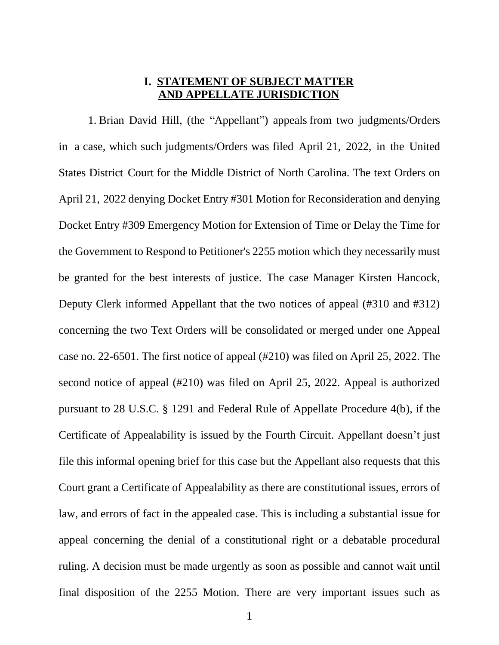### **I. STATEMENT OF SUBJECT MATTER AND APPELLATE JURISDICTION**

1. Brian David Hill, (the "Appellant") appeals from two judgments/Orders in a case, which such judgments/Orders was filed April 21, 2022, in the United States District Court for the Middle District of North Carolina. The text Orders on April 21, 2022 denying Docket Entry #301 Motion for Reconsideration and denying Docket Entry #309 Emergency Motion for Extension of Time or Delay the Time for the Government to Respond to Petitioner's 2255 motion which they necessarily must be granted for the best interests of justice. The case Manager Kirsten Hancock, Deputy Clerk informed Appellant that the two notices of appeal (#310 and #312) concerning the two Text Orders will be consolidated or merged under one Appeal case no. 22-6501. The first notice of appeal (#210) was filed on April 25, 2022. The second notice of appeal (#210) was filed on April 25, 2022. Appeal is authorized pursuant to 28 U.S.C. § 1291 and Federal Rule of Appellate Procedure 4(b), if the Certificate of Appealability is issued by the Fourth Circuit. Appellant doesn't just file this informal opening brief for this case but the Appellant also requests that this Court grant a Certificate of Appealability as there are constitutional issues, errors of law, and errors of fact in the appealed case. This is including a substantial issue for appeal concerning the denial of a constitutional right or a debatable procedural ruling. A decision must be made urgently as soon as possible and cannot wait until final disposition of the 2255 Motion. There are very important issues such as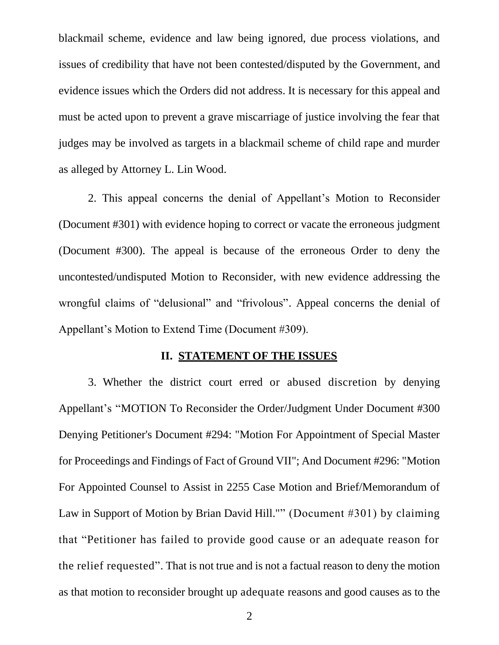blackmail scheme, evidence and law being ignored, due process violations, and issues of credibility that have not been contested/disputed by the Government, and evidence issues which the Orders did not address. It is necessary for this appeal and must be acted upon to prevent a grave miscarriage of justice involving the fear that judges may be involved as targets in a blackmail scheme of child rape and murder as alleged by Attorney L. Lin Wood.

2. This appeal concerns the denial of Appellant's Motion to Reconsider (Document #301) with evidence hoping to correct or vacate the erroneous judgment (Document #300). The appeal is because of the erroneous Order to deny the uncontested/undisputed Motion to Reconsider, with new evidence addressing the wrongful claims of "delusional" and "frivolous". Appeal concerns the denial of Appellant's Motion to Extend Time (Document #309).

#### **II. STATEMENT OF THE ISSUES**

<span id="page-7-0"></span>3. Whether the district court erred or abused discretion by denying Appellant's "MOTION To Reconsider the Order/Judgment Under Document #300 Denying Petitioner's Document #294: "Motion For Appointment of Special Master for Proceedings and Findings of Fact of Ground VII"; And Document #296: "Motion For Appointed Counsel to Assist in 2255 Case Motion and Brief/Memorandum of Law in Support of Motion by Brian David Hill."" (Document #301) by claiming that "Petitioner has failed to provide good cause or an adequate reason for the relief requested". That is not true and is not a factual reason to deny the motion as that motion to reconsider brought up adequate reasons and good causes as to the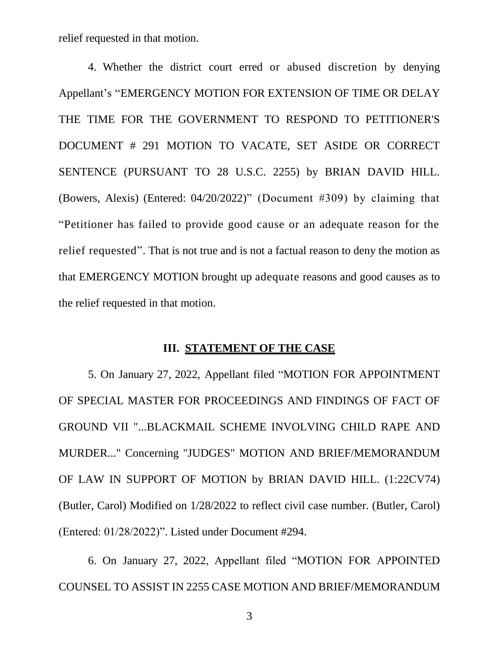relief requested in that motion.

4. Whether the district court erred or abused discretion by denying Appellant's "EMERGENCY MOTION FOR EXTENSION OF TIME OR DELAY THE TIME FOR THE GOVERNMENT TO RESPOND TO PETITIONER'S DOCUMENT # 291 MOTION TO VACATE, SET ASIDE OR CORRECT SENTENCE (PURSUANT TO 28 U.S.C. 2255) by BRIAN DAVID HILL. (Bowers, Alexis) (Entered: 04/20/2022)" (Document #309) by claiming that "Petitioner has failed to provide good cause or an adequate reason for the relief requested". That is not true and is not a factual reason to deny the motion as that EMERGENCY MOTION brought up adequate reasons and good causes as to the relief requested in that motion.

#### **III. STATEMENT OF THE CASE**

<span id="page-8-0"></span>5. On January 27, 2022, Appellant filed "MOTION FOR APPOINTMENT OF SPECIAL MASTER FOR PROCEEDINGS AND FINDINGS OF FACT OF GROUND VII "...BLACKMAIL SCHEME INVOLVING CHILD RAPE AND MURDER..." Concerning "JUDGES" MOTION AND BRIEF/MEMORANDUM OF LAW IN SUPPORT OF MOTION by BRIAN DAVID HILL. (1:22CV74) (Butler, Carol) Modified on 1/28/2022 to reflect civil case number. (Butler, Carol) (Entered: 01/28/2022)". Listed under Document #294.

6. On January 27, 2022, Appellant filed "MOTION FOR APPOINTED COUNSEL TO ASSIST IN 2255 CASE MOTION AND BRIEF/MEMORANDUM

3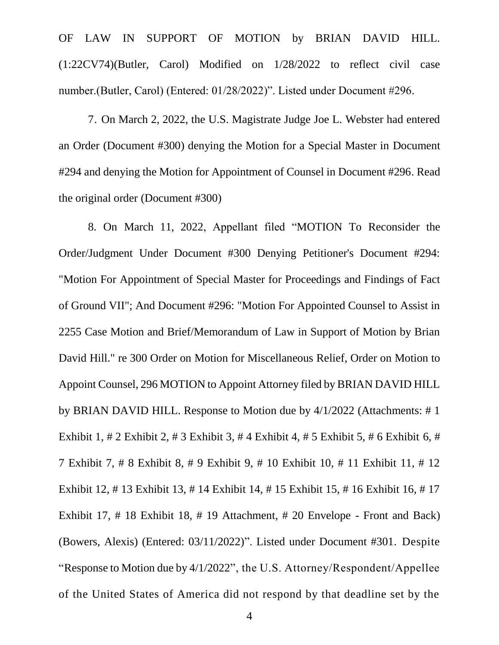OF LAW IN SUPPORT OF MOTION by BRIAN DAVID HILL. (1:22CV74)(Butler, Carol) Modified on 1/28/2022 to reflect civil case number.(Butler, Carol) (Entered: 01/28/2022)". Listed under Document #296.

7. On March 2, 2022, the U.S. Magistrate Judge Joe L. Webster had entered an Order (Document #300) denying the Motion for a Special Master in Document #294 and denying the Motion for Appointment of Counsel in Document #296. Read the original order (Document #300)

8. On March 11, 2022, Appellant filed "MOTION To Reconsider the Order/Judgment Under Document #300 Denying Petitioner's Document #294: "Motion For Appointment of Special Master for Proceedings and Findings of Fact of Ground VII"; And Document #296: "Motion For Appointed Counsel to Assist in 2255 Case Motion and Brief/Memorandum of Law in Support of Motion by Brian David Hill." re 300 Order on Motion for Miscellaneous Relief, Order on Motion to Appoint Counsel, 296 MOTION to Appoint Attorney filed by BRIAN DAVID HILL by BRIAN DAVID HILL. Response to Motion due by 4/1/2022 (Attachments: # 1 Exhibit 1, # 2 Exhibit 2, # 3 Exhibit 3, # 4 Exhibit 4, # 5 Exhibit 5, # 6 Exhibit 6, # 7 Exhibit 7, # 8 Exhibit 8, # 9 Exhibit 9, # 10 Exhibit 10, # 11 Exhibit 11, # 12 Exhibit 12, # 13 Exhibit 13, # 14 Exhibit 14, # 15 Exhibit 15, # 16 Exhibit 16, # 17 Exhibit 17, # 18 Exhibit 18, # 19 Attachment, # 20 Envelope - Front and Back) (Bowers, Alexis) (Entered: 03/11/2022)". Listed under Document #301. Despite "Response to Motion due by 4/1/2022", the U.S. Attorney/Respondent/Appellee of the United States of America did not respond by that deadline set by the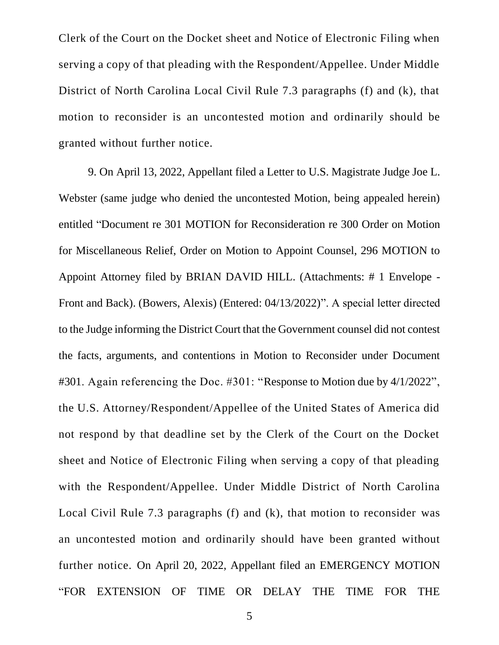Clerk of the Court on the Docket sheet and Notice of Electronic Filing when serving a copy of that pleading with the Respondent/Appellee. Under Middle District of North Carolina Local Civil Rule 7.3 paragraphs (f) and (k), that motion to reconsider is an uncontested motion and ordinarily should be granted without further notice.

9. On April 13, 2022, Appellant filed a Letter to U.S. Magistrate Judge Joe L. Webster (same judge who denied the uncontested Motion, being appealed herein) entitled "Document re 301 MOTION for Reconsideration re 300 Order on Motion for Miscellaneous Relief, Order on Motion to Appoint Counsel, 296 MOTION to Appoint Attorney filed by BRIAN DAVID HILL. (Attachments: # 1 Envelope - Front and Back). (Bowers, Alexis) (Entered: 04/13/2022)". A special letter directed to the Judge informing the District Court that the Government counsel did not contest the facts, arguments, and contentions in Motion to Reconsider under Document #301. Again referencing the Doc. #301: "Response to Motion due by 4/1/2022", the U.S. Attorney/Respondent/Appellee of the United States of America did not respond by that deadline set by the Clerk of the Court on the Docket sheet and Notice of Electronic Filing when serving a copy of that pleading with the Respondent/Appellee. Under Middle District of North Carolina Local Civil Rule 7.3 paragraphs (f) and (k), that motion to reconsider was an uncontested motion and ordinarily should have been granted without further notice. On April 20, 2022, Appellant filed an EMERGENCY MOTION "FOR EXTENSION OF TIME OR DELAY THE TIME FOR THE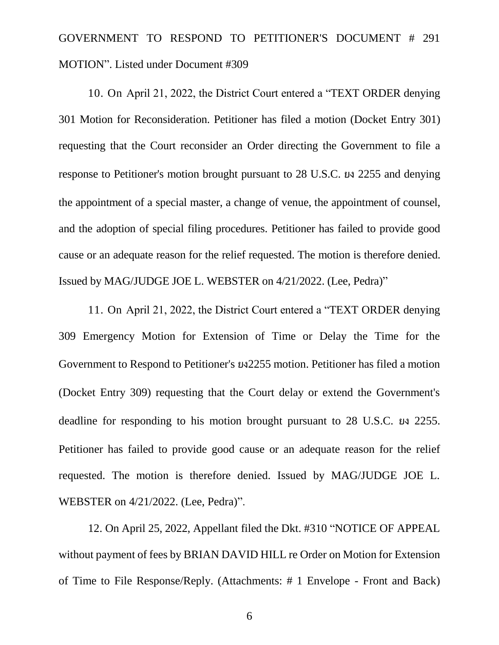# GOVERNMENT TO RESPOND TO PETITIONER'S DOCUMENT # 291 MOTION". Listed under Document #309

10. On April 21, 2022, the District Court entered a "TEXT ORDER denying 301 Motion for Reconsideration. Petitioner has filed a motion (Docket Entry 301) requesting that the Court reconsider an Order directing the Government to file a response to Petitioner's motion brought pursuant to 28 U.S.C. ยง 2255 and denying the appointment of a special master, a change of venue, the appointment of counsel, and the adoption of special filing procedures. Petitioner has failed to provide good cause or an adequate reason for the relief requested. The motion is therefore denied. Issued by MAG/JUDGE JOE L. WEBSTER on 4/21/2022. (Lee, Pedra)"

11. On April 21, 2022, the District Court entered a "TEXT ORDER denying 309 Emergency Motion for Extension of Time or Delay the Time for the Government to Respond to Petitioner's ยง2255 motion. Petitioner has filed a motion (Docket Entry 309) requesting that the Court delay or extend the Government's deadline for responding to his motion brought pursuant to 28 U.S.C. ยง 2255. Petitioner has failed to provide good cause or an adequate reason for the relief requested. The motion is therefore denied. Issued by MAG/JUDGE JOE L. WEBSTER on 4/21/2022. (Lee, Pedra)".

12. On April 25, 2022, Appellant filed the Dkt. #310 "NOTICE OF APPEAL without payment of fees by BRIAN DAVID HILL re Order on Motion for Extension of Time to File Response/Reply. (Attachments: # 1 Envelope - Front and Back)

6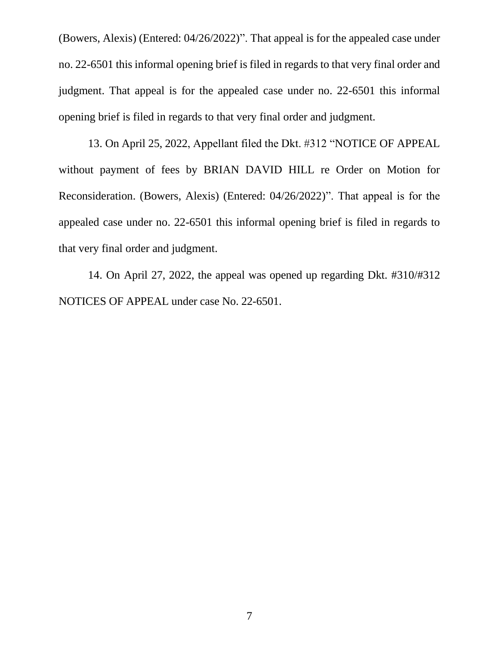(Bowers, Alexis) (Entered: 04/26/2022)". That appeal is for the appealed case under no. 22-6501 this informal opening brief is filed in regards to that very final order and judgment. That appeal is for the appealed case under no. 22-6501 this informal opening brief is filed in regards to that very final order and judgment.

13. On April 25, 2022, Appellant filed the Dkt. #312 "NOTICE OF APPEAL without payment of fees by BRIAN DAVID HILL re Order on Motion for Reconsideration. (Bowers, Alexis) (Entered: 04/26/2022)". That appeal is for the appealed case under no. 22-6501 this informal opening brief is filed in regards to that very final order and judgment.

14. On April 27, 2022, the appeal was opened up regarding Dkt. #310/#312 NOTICES OF APPEAL under case No. 22-6501.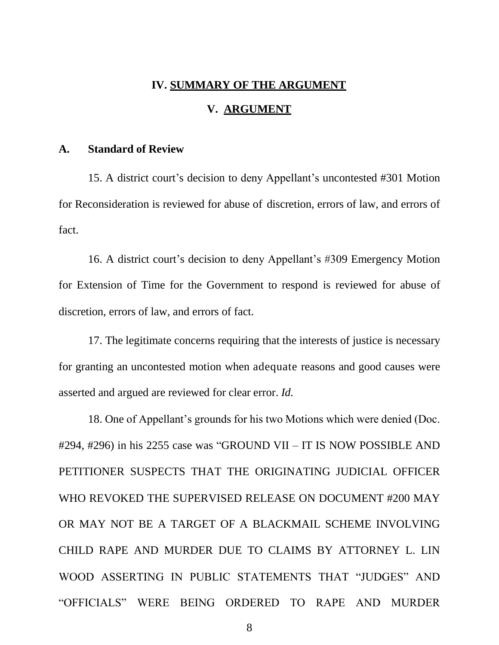#### **IV. SUMMARY OF THE ARGUMENT**

### **V. ARGUMENT**

#### <span id="page-13-2"></span><span id="page-13-1"></span><span id="page-13-0"></span>**A. Standard of Review**

15. A district court's decision to deny Appellant's uncontested #301 Motion for Reconsideration is reviewed for abuse of discretion, errors of law, and errors of fact.

16. A district court's decision to deny Appellant's #309 Emergency Motion for Extension of Time for the Government to respond is reviewed for abuse of discretion, errors of law, and errors of fact.

17. The legitimate concerns requiring that the interests of justice is necessary for granting an uncontested motion when adequate reasons and good causes were asserted and argued are reviewed for clear error. *Id.*

18. One of Appellant's grounds for his two Motions which were denied (Doc. #294, #296) in his 2255 case was "GROUND VII – IT IS NOW POSSIBLE AND PETITIONER SUSPECTS THAT THE ORIGINATING JUDICIAL OFFICER WHO REVOKED THE SUPERVISED RELEASE ON DOCUMENT #200 MAY OR MAY NOT BE A TARGET OF A BLACKMAIL SCHEME INVOLVING CHILD RAPE AND MURDER DUE TO CLAIMS BY ATTORNEY L. LIN WOOD ASSERTING IN PUBLIC STATEMENTS THAT "JUDGES" AND "OFFICIALS" WERE BEING ORDERED TO RAPE AND MURDER

8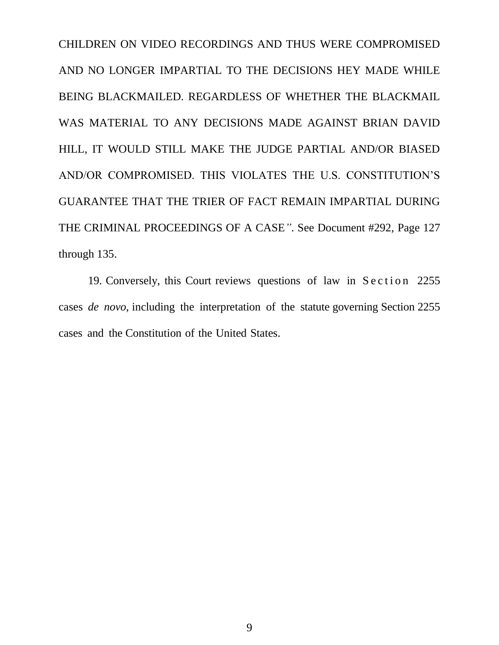CHILDREN ON VIDEO RECORDINGS AND THUS WERE COMPROMISED AND NO LONGER IMPARTIAL TO THE DECISIONS HEY MADE WHILE BEING BLACKMAILED. REGARDLESS OF WHETHER THE BLACKMAIL WAS MATERIAL TO ANY DECISIONS MADE AGAINST BRIAN DAVID HILL, IT WOULD STILL MAKE THE JUDGE PARTIAL AND/OR BIASED AND/OR COMPROMISED. THIS VIOLATES THE U.S. CONSTITUTION'S GUARANTEE THAT THE TRIER OF FACT REMAIN IMPARTIAL DURING THE CRIMINAL PROCEEDINGS OF A CASE*"*. See Document #292, Page 127 through 135.

19. Conversely, this Court reviews questions of law in Section 2255 cases *de novo*, including the interpretation of the statute governing Section 2255 cases and the Constitution of the United States.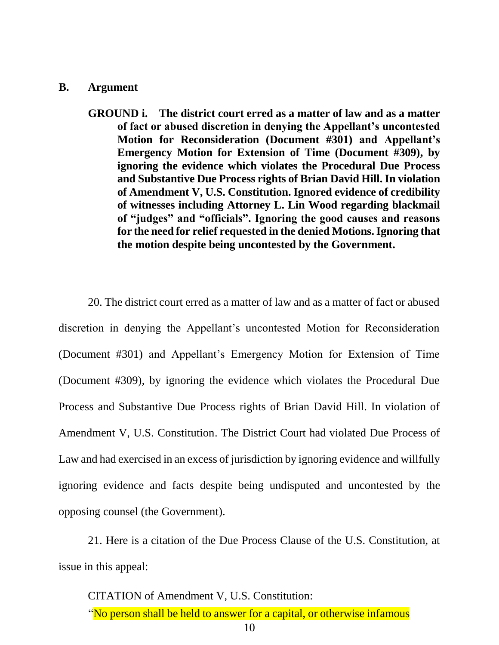#### <span id="page-15-0"></span>**B. Argument**

**GROUND i. The district court erred as a matter of law and as a matter of fact or abused discretion in denying the Appellant's uncontested Motion for Reconsideration (Document #301) and Appellant's Emergency Motion for Extension of Time (Document #309), by ignoring the evidence which violates the Procedural Due Process and Substantive Due Process rights of Brian David Hill. In violation of Amendment V, U.S. Constitution. Ignored evidence of credibility of witnesses including Attorney L. Lin Wood regarding blackmail of "judges" and "officials". Ignoring the good causes and reasons for the need for relief requested in the denied Motions. Ignoring that the motion despite being uncontested by the Government.**

20. The district court erred as a matter of law and as a matter of fact or abused discretion in denying the Appellant's uncontested Motion for Reconsideration (Document #301) and Appellant's Emergency Motion for Extension of Time (Document #309), by ignoring the evidence which violates the Procedural Due Process and Substantive Due Process rights of Brian David Hill. In violation of Amendment V, U.S. Constitution. The District Court had violated Due Process of Law and had exercised in an excess of jurisdiction by ignoring evidence and willfully ignoring evidence and facts despite being undisputed and uncontested by the opposing counsel (the Government).

21. Here is a citation of the Due Process Clause of the U.S. Constitution, at issue in this appeal:

CITATION of Amendment V, U.S. Constitution: "No person shall be held to answer for a capital, or otherwise infamous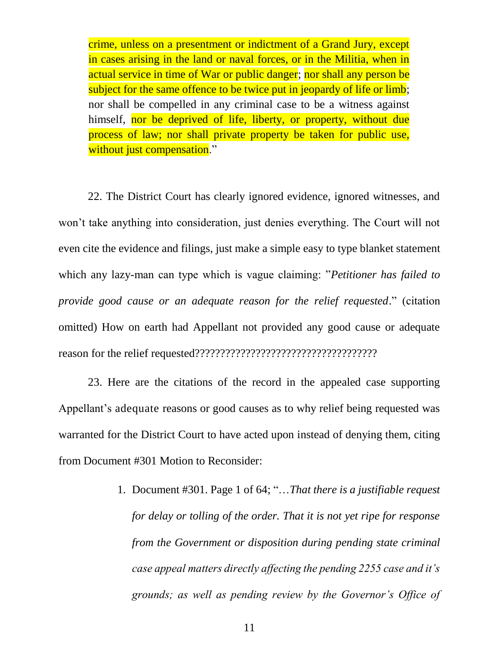crime, unless on a presentment or indictment of a Grand Jury, except in cases arising in the land or naval forces, or in the Militia, when in actual service in time of War or public danger; nor shall any person be subject for the same offence to be twice put in jeopardy of life or limb; nor shall be compelled in any criminal case to be a witness against himself, nor be deprived of life, liberty, or property, without due process of law; nor shall private property be taken for public use, without just compensation."

22. The District Court has clearly ignored evidence, ignored witnesses, and won't take anything into consideration, just denies everything. The Court will not even cite the evidence and filings, just make a simple easy to type blanket statement which any lazy-man can type which is vague claiming: "*Petitioner has failed to provide good cause or an adequate reason for the relief requested*." (citation omitted) How on earth had Appellant not provided any good cause or adequate reason for the relief requested????????????????????????????????????

23. Here are the citations of the record in the appealed case supporting Appellant's adequate reasons or good causes as to why relief being requested was warranted for the District Court to have acted upon instead of denying them, citing from Document #301 Motion to Reconsider:

> 1. Document #301. Page 1 of 64; "…*That there is a justifiable request for delay or tolling of the order. That it is not yet ripe for response from the Government or disposition during pending state criminal case appeal matters directly affecting the pending 2255 case and it's grounds; as well as pending review by the Governor's Office of*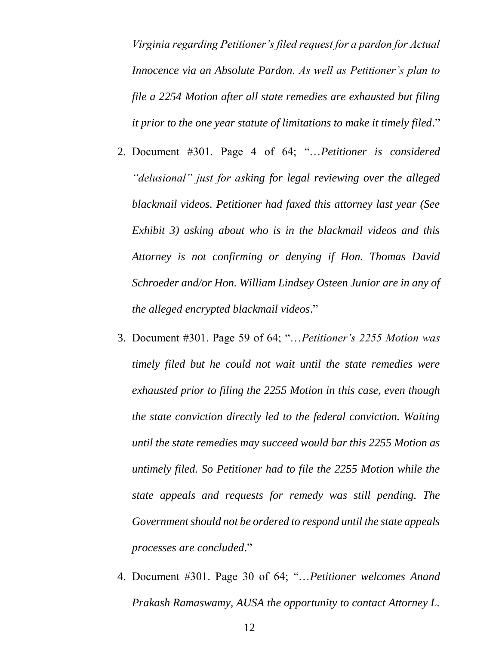*Virginia regarding Petitioner's filed request for a pardon for Actual Innocence via an Absolute Pardon. As well as Petitioner's plan to file a 2254 Motion after all state remedies are exhausted but filing it prior to the one year statute of limitations to make it timely filed*."

- 2. Document #301. Page 4 of 64; "…*Petitioner is considered "delusional" just for asking for legal reviewing over the alleged blackmail videos. Petitioner had faxed this attorney last year (See Exhibit 3) asking about who is in the blackmail videos and this Attorney is not confirming or denying if Hon. Thomas David Schroeder and/or Hon. William Lindsey Osteen Junior are in any of the alleged encrypted blackmail videos*."
- 3. Document #301. Page 59 of 64; "…*Petitioner's 2255 Motion was timely filed but he could not wait until the state remedies were exhausted prior to filing the 2255 Motion in this case, even though the state conviction directly led to the federal conviction. Waiting until the state remedies may succeed would bar this 2255 Motion as untimely filed. So Petitioner had to file the 2255 Motion while the state appeals and requests for remedy was still pending. The Government should not be ordered to respond until the state appeals processes are concluded*."
- 4. Document #301. Page 30 of 64; "…*Petitioner welcomes Anand Prakash Ramaswamy, AUSA the opportunity to contact Attorney L.*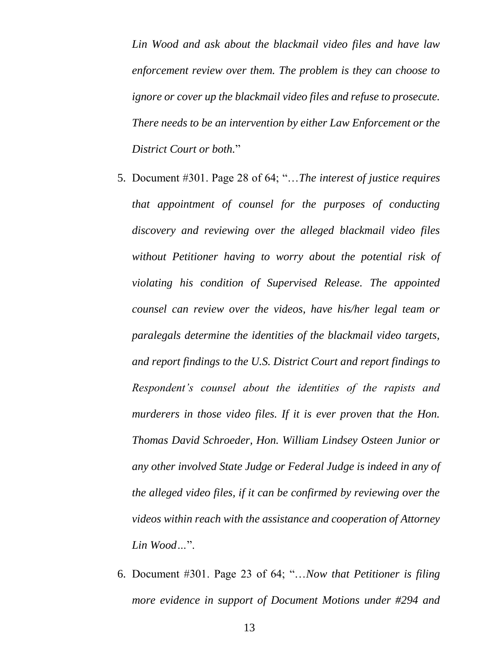*Lin Wood and ask about the blackmail video files and have law enforcement review over them. The problem is they can choose to ignore or cover up the blackmail video files and refuse to prosecute. There needs to be an intervention by either Law Enforcement or the District Court or both.*"

- 5. Document #301. Page 28 of 64; "…*The interest of justice requires that appointment of counsel for the purposes of conducting discovery and reviewing over the alleged blackmail video files without Petitioner having to worry about the potential risk of violating his condition of Supervised Release. The appointed counsel can review over the videos, have his/her legal team or paralegals determine the identities of the blackmail video targets, and report findings to the U.S. District Court and report findings to Respondent's counsel about the identities of the rapists and murderers in those video files. If it is ever proven that the Hon. Thomas David Schroeder, Hon. William Lindsey Osteen Junior or any other involved State Judge or Federal Judge is indeed in any of the alleged video files, if it can be confirmed by reviewing over the videos within reach with the assistance and cooperation of Attorney Lin Wood…*".
- 6. Document #301. Page 23 of 64; "…*Now that Petitioner is filing more evidence in support of Document Motions under #294 and*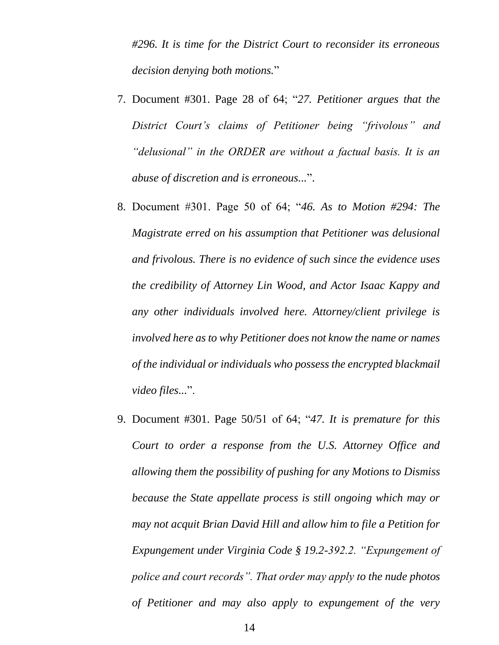*#296. It is time for the District Court to reconsider its erroneous decision denying both motions.*"

- 7. Document #301. Page 28 of 64; "*27. Petitioner argues that the District Court's claims of Petitioner being "frivolous" and "delusional" in the ORDER are without a factual basis. It is an abuse of discretion and is erroneous...*".
- 8. Document #301. Page 50 of 64; "*46. As to Motion #294: The Magistrate erred on his assumption that Petitioner was delusional and frivolous. There is no evidence of such since the evidence uses the credibility of Attorney Lin Wood, and Actor Isaac Kappy and any other individuals involved here. Attorney/client privilege is involved here as to why Petitioner does not know the name or names of the individual or individuals who possess the encrypted blackmail video files...*".
- 9. Document #301. Page 50/51 of 64; "*47. It is premature for this Court to order a response from the U.S. Attorney Office and allowing them the possibility of pushing for any Motions to Dismiss because the State appellate process is still ongoing which may or may not acquit Brian David Hill and allow him to file a Petition for Expungement under Virginia Code § 19.2-392.2. "Expungement of police and court records". That order may apply to the nude photos of Petitioner and may also apply to expungement of the very*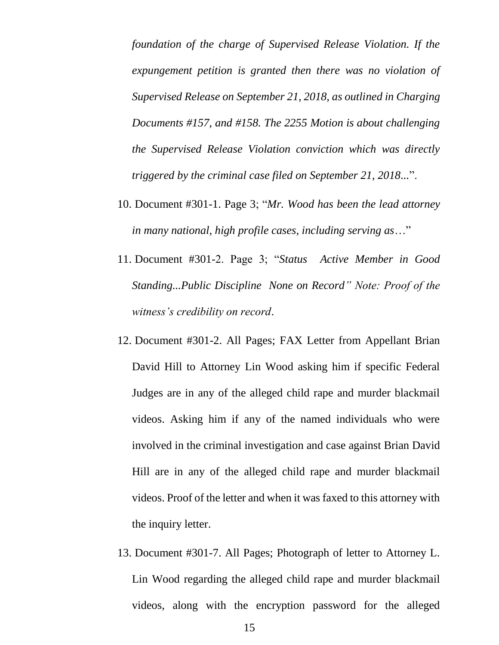*foundation of the charge of Supervised Release Violation. If the expungement petition is granted then there was no violation of Supervised Release on September 21, 2018, as outlined in Charging Documents #157, and #158. The 2255 Motion is about challenging the Supervised Release Violation conviction which was directly triggered by the criminal case filed on September 21, 2018...*".

- 10. Document #301-1. Page 3; "*Mr. Wood has been the lead attorney in many national, high profile cases, including serving as*…"
- 11. Document #301-2. Page 3; "*Status Active Member in Good Standing...Public Discipline None on Record" Note: Proof of the witness's credibility on record*.
- 12. Document #301-2. All Pages; FAX Letter from Appellant Brian David Hill to Attorney Lin Wood asking him if specific Federal Judges are in any of the alleged child rape and murder blackmail videos. Asking him if any of the named individuals who were involved in the criminal investigation and case against Brian David Hill are in any of the alleged child rape and murder blackmail videos. Proof of the letter and when it was faxed to this attorney with the inquiry letter.
- 13. Document #301-7. All Pages; Photograph of letter to Attorney L. Lin Wood regarding the alleged child rape and murder blackmail videos, along with the encryption password for the alleged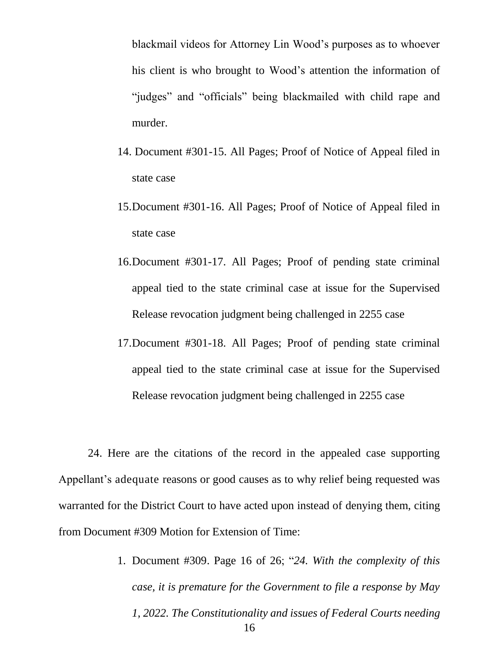blackmail videos for Attorney Lin Wood's purposes as to whoever his client is who brought to Wood's attention the information of "judges" and "officials" being blackmailed with child rape and murder.

- 14. Document #301-15. All Pages; Proof of Notice of Appeal filed in state case
- 15.Document #301-16. All Pages; Proof of Notice of Appeal filed in state case
- 16.Document #301-17. All Pages; Proof of pending state criminal appeal tied to the state criminal case at issue for the Supervised Release revocation judgment being challenged in 2255 case
- 17.Document #301-18. All Pages; Proof of pending state criminal appeal tied to the state criminal case at issue for the Supervised Release revocation judgment being challenged in 2255 case

24. Here are the citations of the record in the appealed case supporting Appellant's adequate reasons or good causes as to why relief being requested was warranted for the District Court to have acted upon instead of denying them, citing from Document #309 Motion for Extension of Time:

> 16 1. Document #309. Page 16 of 26; "*24. With the complexity of this case, it is premature for the Government to file a response by May 1, 2022. The Constitutionality and issues of Federal Courts needing*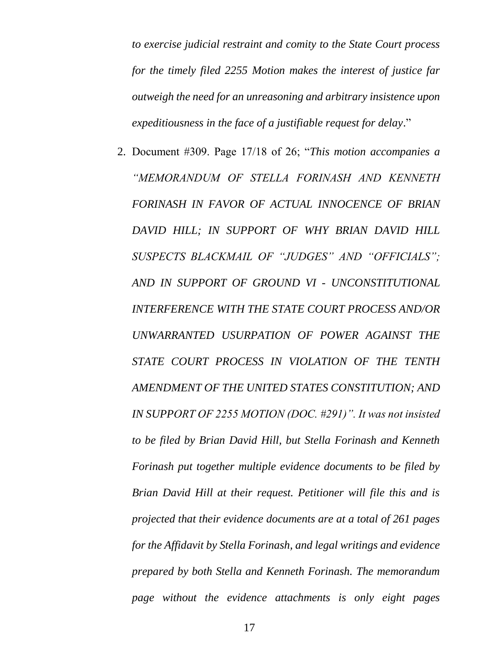*to exercise judicial restraint and comity to the State Court process for the timely filed 2255 Motion makes the interest of justice far outweigh the need for an unreasoning and arbitrary insistence upon expeditiousness in the face of a justifiable request for delay*."

2. Document #309. Page 17/18 of 26; "*This motion accompanies a "MEMORANDUM OF STELLA FORINASH AND KENNETH FORINASH IN FAVOR OF ACTUAL INNOCENCE OF BRIAN DAVID HILL; IN SUPPORT OF WHY BRIAN DAVID HILL SUSPECTS BLACKMAIL OF "JUDGES" AND "OFFICIALS"; AND IN SUPPORT OF GROUND VI - UNCONSTITUTIONAL INTERFERENCE WITH THE STATE COURT PROCESS AND/OR UNWARRANTED USURPATION OF POWER AGAINST THE STATE COURT PROCESS IN VIOLATION OF THE TENTH AMENDMENT OF THE UNITED STATES CONSTITUTION; AND IN SUPPORT OF 2255 MOTION (DOC. #291)". It was not insisted to be filed by Brian David Hill, but Stella Forinash and Kenneth Forinash put together multiple evidence documents to be filed by Brian David Hill at their request. Petitioner will file this and is projected that their evidence documents are at a total of 261 pages for the Affidavit by Stella Forinash, and legal writings and evidence prepared by both Stella and Kenneth Forinash. The memorandum page without the evidence attachments is only eight pages*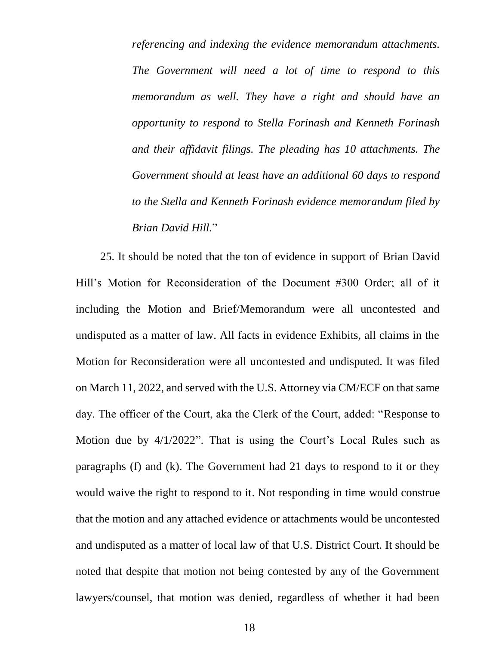*referencing and indexing the evidence memorandum attachments. The Government will need a lot of time to respond to this memorandum as well. They have a right and should have an opportunity to respond to Stella Forinash and Kenneth Forinash and their affidavit filings. The pleading has 10 attachments. The Government should at least have an additional 60 days to respond to the Stella and Kenneth Forinash evidence memorandum filed by Brian David Hill.*"

25. It should be noted that the ton of evidence in support of Brian David Hill's Motion for Reconsideration of the Document #300 Order; all of it including the Motion and Brief/Memorandum were all uncontested and undisputed as a matter of law. All facts in evidence Exhibits, all claims in the Motion for Reconsideration were all uncontested and undisputed. It was filed on March 11, 2022, and served with the U.S. Attorney via CM/ECF on that same day. The officer of the Court, aka the Clerk of the Court, added: "Response to Motion due by 4/1/2022". That is using the Court's Local Rules such as paragraphs (f) and (k). The Government had 21 days to respond to it or they would waive the right to respond to it. Not responding in time would construe that the motion and any attached evidence or attachments would be uncontested and undisputed as a matter of local law of that U.S. District Court. It should be noted that despite that motion not being contested by any of the Government lawyers/counsel, that motion was denied, regardless of whether it had been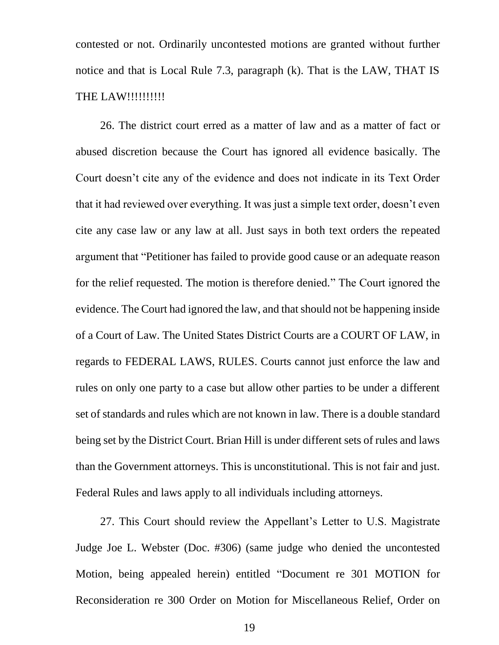contested or not. Ordinarily uncontested motions are granted without further notice and that is Local Rule 7.3, paragraph (k). That is the LAW, THAT IS THE LAW!!!!!!!!!!!

26. The district court erred as a matter of law and as a matter of fact or abused discretion because the Court has ignored all evidence basically. The Court doesn't cite any of the evidence and does not indicate in its Text Order that it had reviewed over everything. It was just a simple text order, doesn't even cite any case law or any law at all. Just says in both text orders the repeated argument that "Petitioner has failed to provide good cause or an adequate reason for the relief requested. The motion is therefore denied." The Court ignored the evidence. The Court had ignored the law, and that should not be happening inside of a Court of Law. The United States District Courts are a COURT OF LAW, in regards to FEDERAL LAWS, RULES. Courts cannot just enforce the law and rules on only one party to a case but allow other parties to be under a different set of standards and rules which are not known in law. There is a double standard being set by the District Court. Brian Hill is under different sets of rules and laws than the Government attorneys. This is unconstitutional. This is not fair and just. Federal Rules and laws apply to all individuals including attorneys.

27. This Court should review the Appellant's Letter to U.S. Magistrate Judge Joe L. Webster (Doc. #306) (same judge who denied the uncontested Motion, being appealed herein) entitled "Document re 301 MOTION for Reconsideration re 300 Order on Motion for Miscellaneous Relief, Order on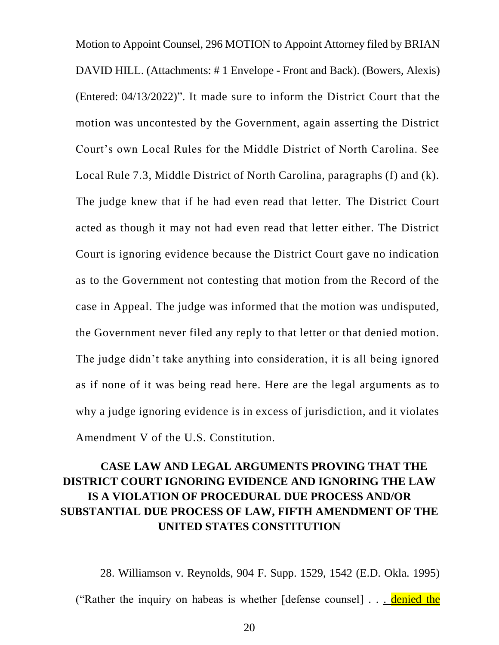Motion to Appoint Counsel, 296 MOTION to Appoint Attorney filed by BRIAN DAVID HILL. (Attachments: # 1 Envelope - Front and Back). (Bowers, Alexis) (Entered: 04/13/2022)". It made sure to inform the District Court that the motion was uncontested by the Government, again asserting the District Court's own Local Rules for the Middle District of North Carolina. See Local Rule 7.3, Middle District of North Carolina, paragraphs (f) and (k). The judge knew that if he had even read that letter. The District Court acted as though it may not had even read that letter either. The District Court is ignoring evidence because the District Court gave no indication as to the Government not contesting that motion from the Record of the case in Appeal. The judge was informed that the motion was undisputed, the Government never filed any reply to that letter or that denied motion. The judge didn't take anything into consideration, it is all being ignored as if none of it was being read here. Here are the legal arguments as to why a judge ignoring evidence is in excess of jurisdiction, and it violates Amendment V of the U.S. Constitution.

# **CASE LAW AND LEGAL ARGUMENTS PROVING THAT THE DISTRICT COURT IGNORING EVIDENCE AND IGNORING THE LAW IS A VIOLATION OF PROCEDURAL DUE PROCESS AND/OR SUBSTANTIAL DUE PROCESS OF LAW, FIFTH AMENDMENT OF THE UNITED STATES CONSTITUTION**

28. Williamson v. Reynolds, 904 F. Supp. 1529, 1542 (E.D. Okla. 1995) ("Rather the inquiry on habeas is whether [defense counsel] . . . denied the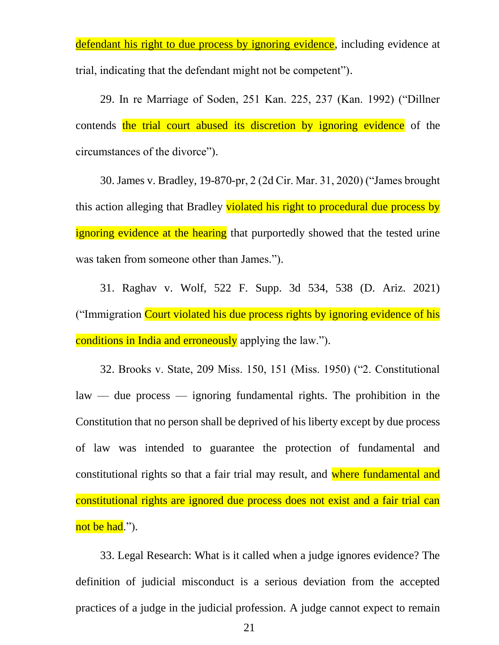defendant his right to due process by ignoring evidence, including evidence at trial, indicating that the defendant might not be competent").

29. In re Marriage of Soden, 251 Kan. 225, 237 (Kan. 1992) ("Dillner contends the trial court abused its discretion by ignoring evidence of the circumstances of the divorce").

30. James v. Bradley, 19-870-pr, 2 (2d Cir. Mar. 31, 2020) ("James brought this action alleging that Bradley violated his right to procedural due process by ignoring evidence at the hearing that purportedly showed that the tested urine was taken from someone other than James.").

31. Raghav v. Wolf, 522 F. Supp. 3d 534, 538 (D. Ariz. 2021) ("Immigration Court violated his due process rights by ignoring evidence of his conditions in India and erroneously applying the law.").

32. Brooks v. State, 209 Miss. 150, 151 (Miss. 1950) ("2. Constitutional law — due process — ignoring fundamental rights. The prohibition in the Constitution that no person shall be deprived of his liberty except by due process of law was intended to guarantee the protection of fundamental and constitutional rights so that a fair trial may result, and where fundamental and constitutional rights are ignored due process does not exist and a fair trial can not be had.").

33. Legal Research: What is it called when a judge ignores evidence? The definition of judicial misconduct is a serious deviation from the accepted practices of a judge in the judicial profession. A judge cannot expect to remain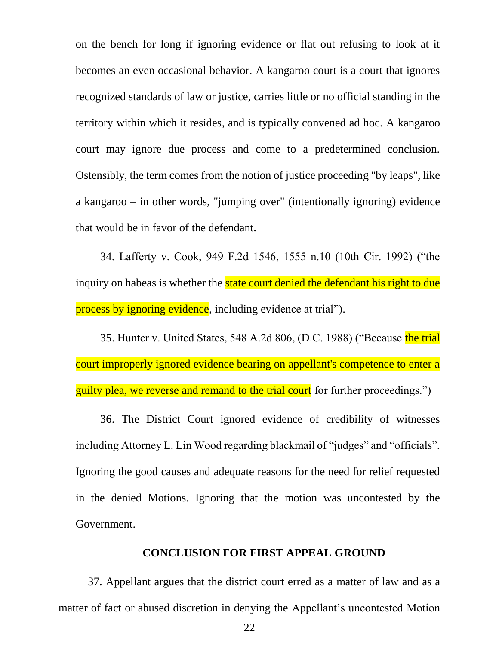on the bench for long if ignoring evidence or flat out refusing to look at it becomes an even occasional behavior. A kangaroo court is a court that ignores recognized standards of law or justice, carries little or no official standing in the territory within which it resides, and is typically convened ad hoc. A kangaroo court may ignore due process and come to a predetermined conclusion. Ostensibly, the term comes from the notion of justice proceeding "by leaps", like a kangaroo – in other words, "jumping over" (intentionally ignoring) evidence that would be in favor of the defendant.

34. Lafferty v. Cook, 949 F.2d 1546, 1555 n.10 (10th Cir. 1992) ("the inquiry on habeas is whether the **state court denied the defendant his right to due** process by ignoring evidence, including evidence at trial").

35. Hunter v. United States, 548 A.2d 806, (D.C. 1988) ("Because the trial court improperly ignored evidence bearing on appellant's competence to enter a guilty plea, we reverse and remand to the trial court for further proceedings.")

36. The District Court ignored evidence of credibility of witnesses including Attorney L. Lin Wood regarding blackmail of "judges" and "officials". Ignoring the good causes and adequate reasons for the need for relief requested in the denied Motions. Ignoring that the motion was uncontested by the Government.

#### **CONCLUSION FOR FIRST APPEAL GROUND**

37. Appellant argues that the district court erred as a matter of law and as a matter of fact or abused discretion in denying the Appellant's uncontested Motion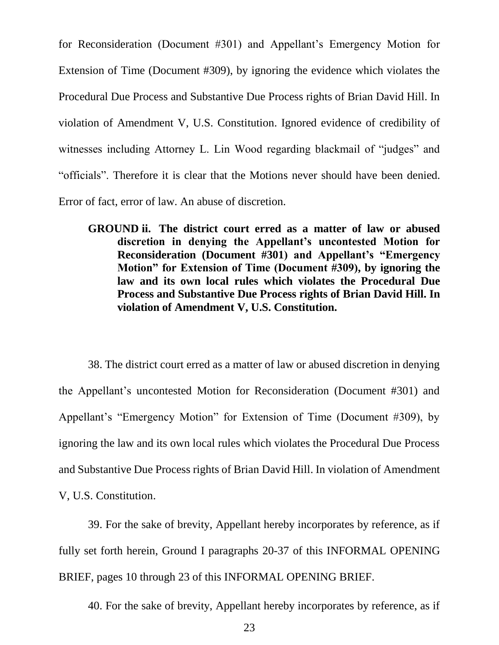for Reconsideration (Document #301) and Appellant's Emergency Motion for Extension of Time (Document #309), by ignoring the evidence which violates the Procedural Due Process and Substantive Due Process rights of Brian David Hill. In violation of Amendment V, U.S. Constitution. Ignored evidence of credibility of witnesses including Attorney L. Lin Wood regarding blackmail of "judges" and "officials". Therefore it is clear that the Motions never should have been denied. Error of fact, error of law. An abuse of discretion.

**GROUND ii. The district court erred as a matter of law or abused discretion in denying the Appellant's uncontested Motion for Reconsideration (Document #301) and Appellant's "Emergency Motion" for Extension of Time (Document #309), by ignoring the law and its own local rules which violates the Procedural Due Process and Substantive Due Process rights of Brian David Hill. In violation of Amendment V, U.S. Constitution.**

38. The district court erred as a matter of law or abused discretion in denying the Appellant's uncontested Motion for Reconsideration (Document #301) and Appellant's "Emergency Motion" for Extension of Time (Document #309), by ignoring the law and its own local rules which violates the Procedural Due Process and Substantive Due Process rights of Brian David Hill. In violation of Amendment V, U.S. Constitution.

39. For the sake of brevity, Appellant hereby incorporates by reference, as if fully set forth herein, Ground I paragraphs 20-37 of this INFORMAL OPENING BRIEF, pages 10 through 23 of this INFORMAL OPENING BRIEF.

40. For the sake of brevity, Appellant hereby incorporates by reference, as if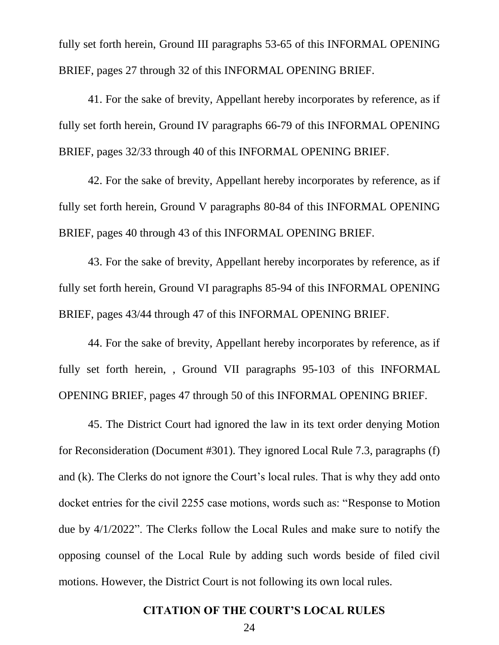fully set forth herein, Ground III paragraphs 53-65 of this INFORMAL OPENING BRIEF, pages 27 through 32 of this INFORMAL OPENING BRIEF.

41. For the sake of brevity, Appellant hereby incorporates by reference, as if fully set forth herein, Ground IV paragraphs 66-79 of this INFORMAL OPENING BRIEF, pages 32/33 through 40 of this INFORMAL OPENING BRIEF.

42. For the sake of brevity, Appellant hereby incorporates by reference, as if fully set forth herein, Ground V paragraphs 80-84 of this INFORMAL OPENING BRIEF, pages 40 through 43 of this INFORMAL OPENING BRIEF.

43. For the sake of brevity, Appellant hereby incorporates by reference, as if fully set forth herein, Ground VI paragraphs 85-94 of this INFORMAL OPENING BRIEF, pages 43/44 through 47 of this INFORMAL OPENING BRIEF.

44. For the sake of brevity, Appellant hereby incorporates by reference, as if fully set forth herein, , Ground VII paragraphs 95-103 of this INFORMAL OPENING BRIEF, pages 47 through 50 of this INFORMAL OPENING BRIEF.

45. The District Court had ignored the law in its text order denying Motion for Reconsideration (Document #301). They ignored Local Rule 7.3, paragraphs (f) and (k). The Clerks do not ignore the Court's local rules. That is why they add onto docket entries for the civil 2255 case motions, words such as: "Response to Motion due by 4/1/2022". The Clerks follow the Local Rules and make sure to notify the opposing counsel of the Local Rule by adding such words beside of filed civil motions. However, the District Court is not following its own local rules.

#### **CITATION OF THE COURT'S LOCAL RULES**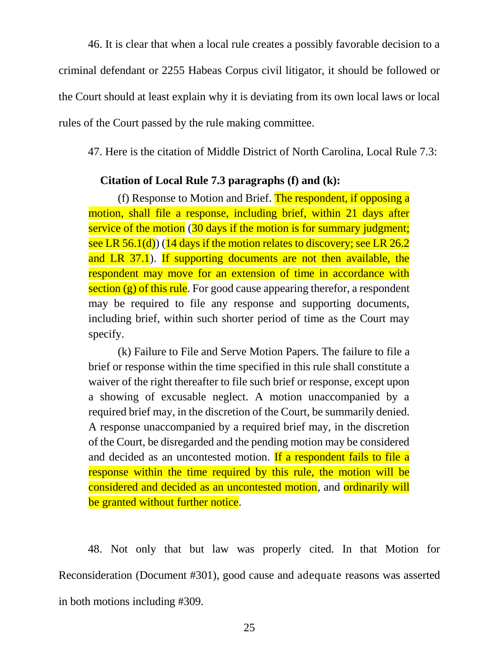46. It is clear that when a local rule creates a possibly favorable decision to a criminal defendant or 2255 Habeas Corpus civil litigator, it should be followed or the Court should at least explain why it is deviating from its own local laws or local rules of the Court passed by the rule making committee.

47. Here is the citation of Middle District of North Carolina, Local Rule 7.3:

### **Citation of Local Rule 7.3 paragraphs (f) and (k):**

(f) Response to Motion and Brief. The respondent, if opposing a motion, shall file a response, including brief, within 21 days after service of the motion (30 days if the motion is for summary judgment; see LR 56.1(d)) (14 days if the motion relates to discovery; see LR  $26.2$ and LR 37.1). If supporting documents are not then available, the respondent may move for an extension of time in accordance with section  $(g)$  of this rule. For good cause appearing therefor, a respondent may be required to file any response and supporting documents, including brief, within such shorter period of time as the Court may specify.

(k) Failure to File and Serve Motion Papers. The failure to file a brief or response within the time specified in this rule shall constitute a waiver of the right thereafter to file such brief or response, except upon a showing of excusable neglect. A motion unaccompanied by a required brief may, in the discretion of the Court, be summarily denied. A response unaccompanied by a required brief may, in the discretion of the Court, be disregarded and the pending motion may be considered and decided as an uncontested motion. If a respondent fails to file a response within the time required by this rule, the motion will be considered and decided as an uncontested motion, and ordinarily will be granted without further notice.

48. Not only that but law was properly cited. In that Motion for Reconsideration (Document #301), good cause and adequate reasons was asserted in both motions including #309.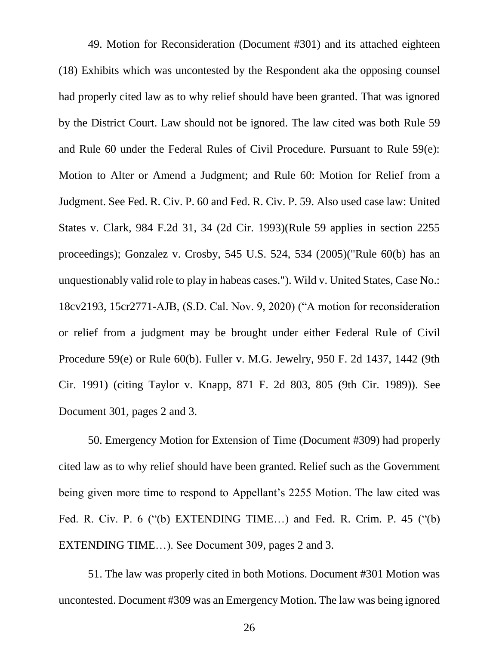49. Motion for Reconsideration (Document #301) and its attached eighteen (18) Exhibits which was uncontested by the Respondent aka the opposing counsel had properly cited law as to why relief should have been granted. That was ignored by the District Court. Law should not be ignored. The law cited was both Rule 59 and Rule 60 under the Federal Rules of Civil Procedure. Pursuant to Rule 59(e): Motion to Alter or Amend a Judgment; and Rule 60: Motion for Relief from a Judgment. See Fed. R. Civ. P. 60 and Fed. R. Civ. P. 59. Also used case law: United States v. Clark, 984 F.2d 31, 34 (2d Cir. 1993)(Rule 59 applies in section 2255 proceedings); Gonzalez v. Crosby, 545 U.S. 524, 534 (2005)("Rule 60(b) has an unquestionably valid role to play in habeas cases."). Wild v. United States, Case No.: 18cv2193, 15cr2771-AJB, (S.D. Cal. Nov. 9, 2020) ("A motion for reconsideration or relief from a judgment may be brought under either Federal Rule of Civil Procedure 59(e) or Rule 60(b). Fuller v. M.G. Jewelry, 950 F. 2d 1437, 1442 (9th Cir. 1991) (citing Taylor v. Knapp, 871 F. 2d 803, 805 (9th Cir. 1989)). See Document 301, pages 2 and 3.

50. Emergency Motion for Extension of Time (Document #309) had properly cited law as to why relief should have been granted. Relief such as the Government being given more time to respond to Appellant's 2255 Motion. The law cited was Fed. R. Civ. P. 6 ("(b) EXTENDING TIME…) and Fed. R. Crim. P. 45 ("(b) EXTENDING TIME…). See Document 309, pages 2 and 3.

51. The law was properly cited in both Motions. Document #301 Motion was uncontested. Document #309 was an Emergency Motion. The law was being ignored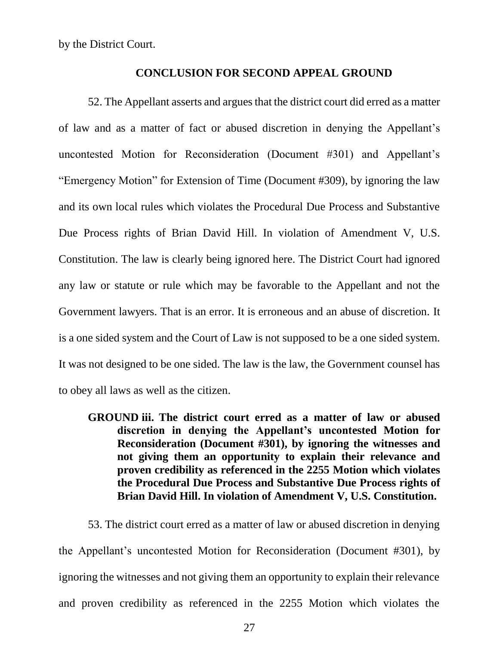by the District Court.

#### **CONCLUSION FOR SECOND APPEAL GROUND**

52. The Appellant asserts and argues that the district court did erred as a matter of law and as a matter of fact or abused discretion in denying the Appellant's uncontested Motion for Reconsideration (Document #301) and Appellant's "Emergency Motion" for Extension of Time (Document #309), by ignoring the law and its own local rules which violates the Procedural Due Process and Substantive Due Process rights of Brian David Hill. In violation of Amendment V, U.S. Constitution. The law is clearly being ignored here. The District Court had ignored any law or statute or rule which may be favorable to the Appellant and not the Government lawyers. That is an error. It is erroneous and an abuse of discretion. It is a one sided system and the Court of Law is not supposed to be a one sided system. It was not designed to be one sided. The law is the law, the Government counsel has to obey all laws as well as the citizen.

**GROUND iii. The district court erred as a matter of law or abused discretion in denying the Appellant's uncontested Motion for Reconsideration (Document #301), by ignoring the witnesses and not giving them an opportunity to explain their relevance and proven credibility as referenced in the 2255 Motion which violates the Procedural Due Process and Substantive Due Process rights of Brian David Hill. In violation of Amendment V, U.S. Constitution.**

53. The district court erred as a matter of law or abused discretion in denying the Appellant's uncontested Motion for Reconsideration (Document #301), by ignoring the witnesses and not giving them an opportunity to explain their relevance and proven credibility as referenced in the 2255 Motion which violates the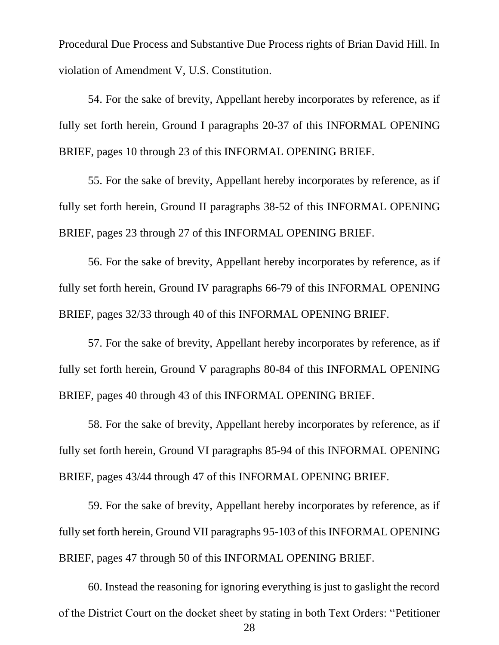Procedural Due Process and Substantive Due Process rights of Brian David Hill. In violation of Amendment V, U.S. Constitution.

54. For the sake of brevity, Appellant hereby incorporates by reference, as if fully set forth herein, Ground I paragraphs 20-37 of this INFORMAL OPENING BRIEF, pages 10 through 23 of this INFORMAL OPENING BRIEF.

55. For the sake of brevity, Appellant hereby incorporates by reference, as if fully set forth herein, Ground II paragraphs 38-52 of this INFORMAL OPENING BRIEF, pages 23 through 27 of this INFORMAL OPENING BRIEF.

56. For the sake of brevity, Appellant hereby incorporates by reference, as if fully set forth herein, Ground IV paragraphs 66-79 of this INFORMAL OPENING BRIEF, pages 32/33 through 40 of this INFORMAL OPENING BRIEF.

57. For the sake of brevity, Appellant hereby incorporates by reference, as if fully set forth herein, Ground V paragraphs 80-84 of this INFORMAL OPENING BRIEF, pages 40 through 43 of this INFORMAL OPENING BRIEF.

58. For the sake of brevity, Appellant hereby incorporates by reference, as if fully set forth herein, Ground VI paragraphs 85-94 of this INFORMAL OPENING BRIEF, pages 43/44 through 47 of this INFORMAL OPENING BRIEF.

59. For the sake of brevity, Appellant hereby incorporates by reference, as if fully set forth herein, Ground VII paragraphs 95-103 of this INFORMAL OPENING BRIEF, pages 47 through 50 of this INFORMAL OPENING BRIEF.

 28 60. Instead the reasoning for ignoring everything is just to gaslight the record of the District Court on the docket sheet by stating in both Text Orders: "Petitioner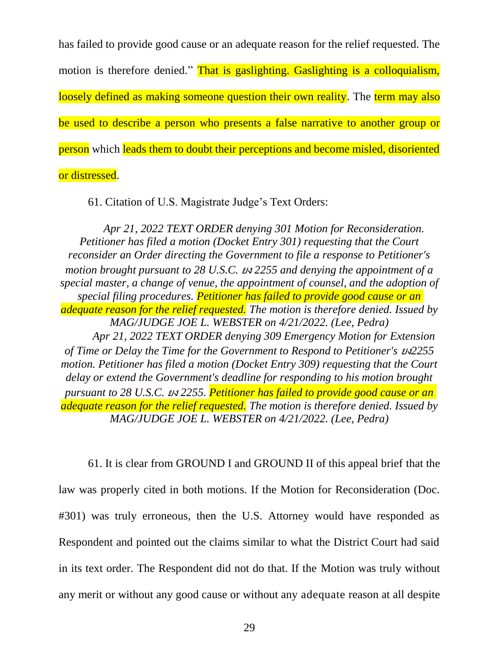has failed to provide good cause or an adequate reason for the relief requested. The motion is therefore denied." That is gaslighting. Gaslighting is a colloquialism. loosely defined as making someone question their own reality. The term may also be used to describe a person who presents a false narrative to another group or person which leads them to doubt their perceptions and become misled, disoriented or distressed.

61. Citation of U.S. Magistrate Judge's Text Orders:

*Apr 21, 2022 TEXT ORDER denying 301 Motion for Reconsideration. Petitioner has filed a motion (Docket Entry 301) requesting that the Court reconsider an Order directing the Government to file a response to Petitioner's motion brought pursuant to 28 U.S.C.* ยง *2255 and denying the appointment of a special master, a change of venue, the appointment of counsel, and the adoption of special filing procedures. Petitioner has failed to provide good cause or an adequate reason for the relief requested. The motion is therefore denied. Issued by MAG/JUDGE JOE L. WEBSTER on 4/21/2022. (Lee, Pedra) Apr 21, 2022 TEXT ORDER denying 309 Emergency Motion for Extension of Time or Delay the Time for the Government to Respond to Petitioner's* ยง*2255 motion. Petitioner has filed a motion (Docket Entry 309) requesting that the Court delay or extend the Government's deadline for responding to his motion brought pursuant to 28 U.S.C.* ยง *2255. Petitioner has failed to provide good cause or an adequate reason for the relief requested. The motion is therefore denied. Issued by MAG/JUDGE JOE L. WEBSTER on 4/21/2022. (Lee, Pedra)*

61. It is clear from GROUND I and GROUND II of this appeal brief that the law was properly cited in both motions. If the Motion for Reconsideration (Doc. #301) was truly erroneous, then the U.S. Attorney would have responded as Respondent and pointed out the claims similar to what the District Court had said in its text order. The Respondent did not do that. If the Motion was truly without any merit or without any good cause or without any adequate reason at all despite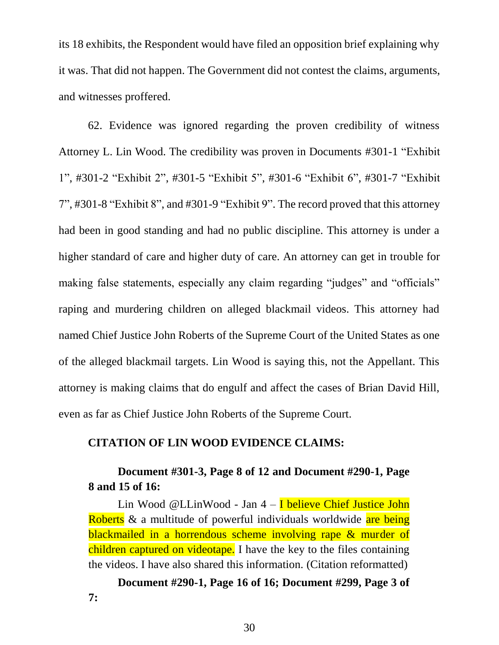its 18 exhibits, the Respondent would have filed an opposition brief explaining why it was. That did not happen. The Government did not contest the claims, arguments, and witnesses proffered.

62. Evidence was ignored regarding the proven credibility of witness Attorney L. Lin Wood. The credibility was proven in Documents #301-1 "Exhibit 1", #301-2 "Exhibit 2", #301-5 "Exhibit 5", #301-6 "Exhibit 6", #301-7 "Exhibit 7", #301-8 "Exhibit 8", and #301-9 "Exhibit 9". The record proved that this attorney had been in good standing and had no public discipline. This attorney is under a higher standard of care and higher duty of care. An attorney can get in trouble for making false statements, especially any claim regarding "judges" and "officials" raping and murdering children on alleged blackmail videos. This attorney had named Chief Justice John Roberts of the Supreme Court of the United States as one of the alleged blackmail targets. Lin Wood is saying this, not the Appellant. This attorney is making claims that do engulf and affect the cases of Brian David Hill, even as far as Chief Justice John Roberts of the Supreme Court.

### **CITATION OF LIN WOOD EVIDENCE CLAIMS:**

# **Document #301-3, Page 8 of 12 and Document #290-1, Page 8 and 15 of 16:**

Lin Wood @LLinWood - Jan 4 – I believe Chief Justice John Roberts & a multitude of powerful individuals worldwide are being blackmailed in a horrendous scheme involving rape & murder of children captured on videotape. I have the key to the files containing the videos. I have also shared this information. (Citation reformatted)

**Document #290-1, Page 16 of 16; Document #299, Page 3 of 7:**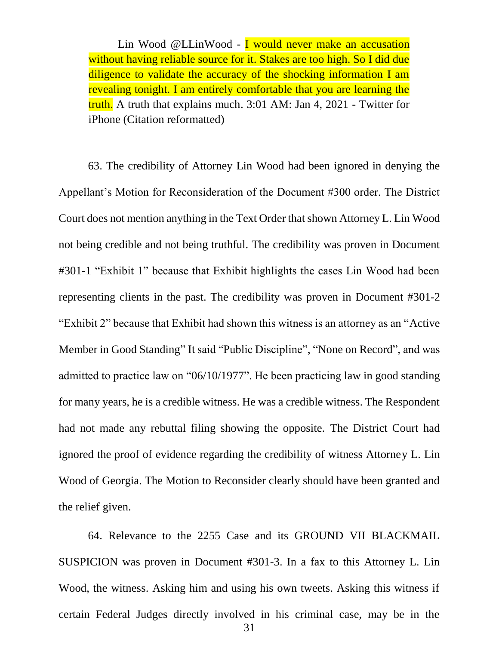Lin Wood @LLinWood - I would never make an accusation without having reliable source for it. Stakes are too high. So I did due diligence to validate the accuracy of the shocking information I am revealing tonight. I am entirely comfortable that you are learning the truth. A truth that explains much. 3:01 AM: Jan 4, 2021 - Twitter for iPhone (Citation reformatted)

63. The credibility of Attorney Lin Wood had been ignored in denying the Appellant's Motion for Reconsideration of the Document #300 order. The District Court does not mention anything in the Text Order that shown Attorney L. Lin Wood not being credible and not being truthful. The credibility was proven in Document #301-1 "Exhibit 1" because that Exhibit highlights the cases Lin Wood had been representing clients in the past. The credibility was proven in Document #301-2 "Exhibit 2" because that Exhibit had shown this witness is an attorney as an "Active Member in Good Standing" It said "Public Discipline", "None on Record", and was admitted to practice law on "06/10/1977". He been practicing law in good standing for many years, he is a credible witness. He was a credible witness. The Respondent had not made any rebuttal filing showing the opposite. The District Court had ignored the proof of evidence regarding the credibility of witness Attorney L. Lin Wood of Georgia. The Motion to Reconsider clearly should have been granted and the relief given.

 31 64. Relevance to the 2255 Case and its GROUND VII BLACKMAIL SUSPICION was proven in Document #301-3. In a fax to this Attorney L. Lin Wood, the witness. Asking him and using his own tweets. Asking this witness if certain Federal Judges directly involved in his criminal case, may be in the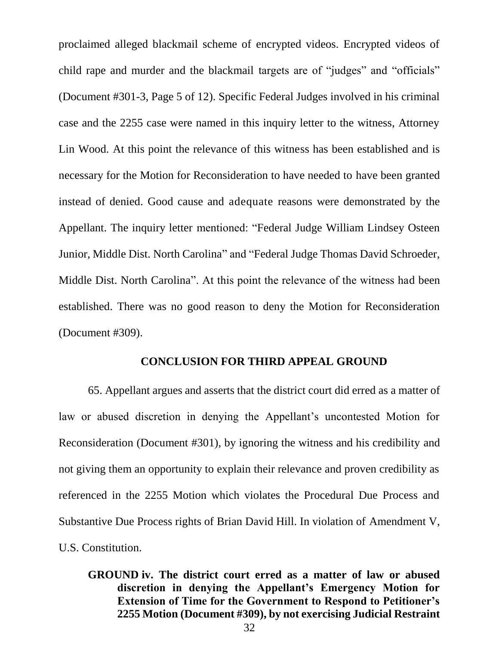proclaimed alleged blackmail scheme of encrypted videos. Encrypted videos of child rape and murder and the blackmail targets are of "judges" and "officials" (Document #301-3, Page 5 of 12). Specific Federal Judges involved in his criminal case and the 2255 case were named in this inquiry letter to the witness, Attorney Lin Wood. At this point the relevance of this witness has been established and is necessary for the Motion for Reconsideration to have needed to have been granted instead of denied. Good cause and adequate reasons were demonstrated by the Appellant. The inquiry letter mentioned: "Federal Judge William Lindsey Osteen Junior, Middle Dist. North Carolina" and "Federal Judge Thomas David Schroeder, Middle Dist. North Carolina". At this point the relevance of the witness had been established. There was no good reason to deny the Motion for Reconsideration (Document #309).

#### **CONCLUSION FOR THIRD APPEAL GROUND**

65. Appellant argues and asserts that the district court did erred as a matter of law or abused discretion in denying the Appellant's uncontested Motion for Reconsideration (Document #301), by ignoring the witness and his credibility and not giving them an opportunity to explain their relevance and proven credibility as referenced in the 2255 Motion which violates the Procedural Due Process and Substantive Due Process rights of Brian David Hill. In violation of Amendment V, U.S. Constitution.

## **GROUND iv. The district court erred as a matter of law or abused discretion in denying the Appellant's Emergency Motion for Extension of Time for the Government to Respond to Petitioner's 2255 Motion (Document #309), by not exercising Judicial Restraint**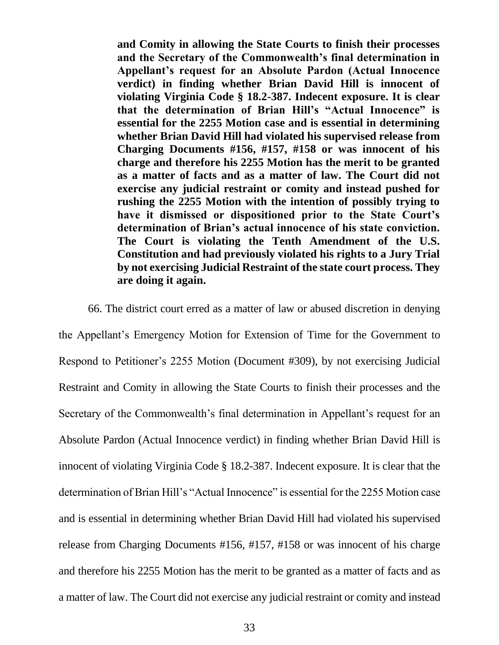**and Comity in allowing the State Courts to finish their processes and the Secretary of the Commonwealth's final determination in Appellant's request for an Absolute Pardon (Actual Innocence verdict) in finding whether Brian David Hill is innocent of violating Virginia Code § 18.2-387. Indecent exposure. It is clear that the determination of Brian Hill's "Actual Innocence" is essential for the 2255 Motion case and is essential in determining whether Brian David Hill had violated his supervised release from Charging Documents #156, #157, #158 or was innocent of his charge and therefore his 2255 Motion has the merit to be granted as a matter of facts and as a matter of law. The Court did not exercise any judicial restraint or comity and instead pushed for rushing the 2255 Motion with the intention of possibly trying to have it dismissed or dispositioned prior to the State Court's determination of Brian's actual innocence of his state conviction. The Court is violating the Tenth Amendment of the U.S. Constitution and had previously violated his rights to a Jury Trial by not exercising Judicial Restraint of the state court process. They are doing it again.**

66. The district court erred as a matter of law or abused discretion in denying the Appellant's Emergency Motion for Extension of Time for the Government to Respond to Petitioner's 2255 Motion (Document #309), by not exercising Judicial Restraint and Comity in allowing the State Courts to finish their processes and the Secretary of the Commonwealth's final determination in Appellant's request for an Absolute Pardon (Actual Innocence verdict) in finding whether Brian David Hill is innocent of violating Virginia Code § 18.2-387. Indecent exposure. It is clear that the determination of Brian Hill's "Actual Innocence" is essential for the 2255 Motion case and is essential in determining whether Brian David Hill had violated his supervised release from Charging Documents #156, #157, #158 or was innocent of his charge and therefore his 2255 Motion has the merit to be granted as a matter of facts and as a matter of law. The Court did not exercise any judicial restraint or comity and instead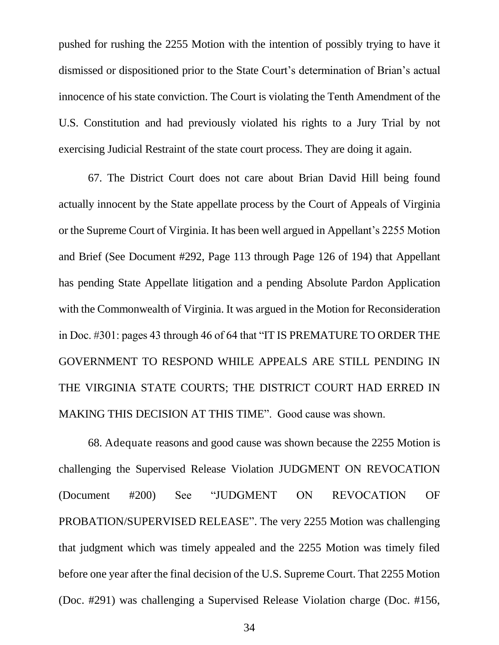pushed for rushing the 2255 Motion with the intention of possibly trying to have it dismissed or dispositioned prior to the State Court's determination of Brian's actual innocence of his state conviction. The Court is violating the Tenth Amendment of the U.S. Constitution and had previously violated his rights to a Jury Trial by not exercising Judicial Restraint of the state court process. They are doing it again.

67. The District Court does not care about Brian David Hill being found actually innocent by the State appellate process by the Court of Appeals of Virginia or the Supreme Court of Virginia. It has been well argued in Appellant's 2255 Motion and Brief (See Document #292, Page 113 through Page 126 of 194) that Appellant has pending State Appellate litigation and a pending Absolute Pardon Application with the Commonwealth of Virginia. It was argued in the Motion for Reconsideration in Doc. #301: pages 43 through 46 of 64 that "IT IS PREMATURE TO ORDER THE GOVERNMENT TO RESPOND WHILE APPEALS ARE STILL PENDING IN THE VIRGINIA STATE COURTS; THE DISTRICT COURT HAD ERRED IN MAKING THIS DECISION AT THIS TIME". Good cause was shown.

68. Adequate reasons and good cause was shown because the 2255 Motion is challenging the Supervised Release Violation JUDGMENT ON REVOCATION (Document #200) See "JUDGMENT ON REVOCATION OF PROBATION/SUPERVISED RELEASE". The very 2255 Motion was challenging that judgment which was timely appealed and the 2255 Motion was timely filed before one year after the final decision of the U.S. Supreme Court. That 2255 Motion (Doc. #291) was challenging a Supervised Release Violation charge (Doc. #156,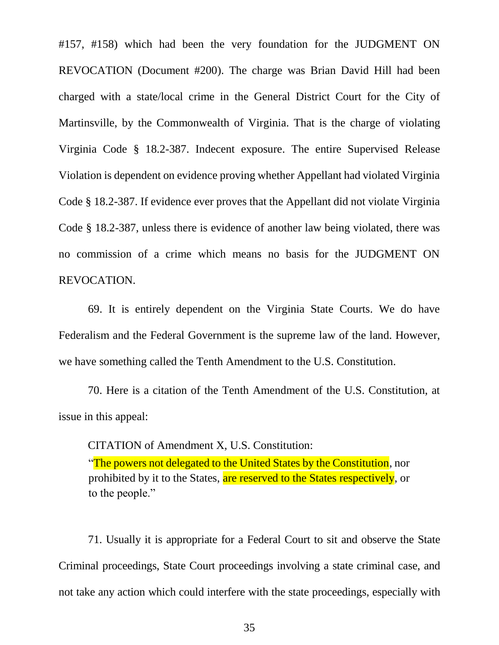#157, #158) which had been the very foundation for the JUDGMENT ON REVOCATION (Document #200). The charge was Brian David Hill had been charged with a state/local crime in the General District Court for the City of Martinsville, by the Commonwealth of Virginia. That is the charge of violating Virginia Code § 18.2-387. Indecent exposure. The entire Supervised Release Violation is dependent on evidence proving whether Appellant had violated Virginia Code § 18.2-387. If evidence ever proves that the Appellant did not violate Virginia Code § 18.2-387, unless there is evidence of another law being violated, there was no commission of a crime which means no basis for the JUDGMENT ON REVOCATION.

69. It is entirely dependent on the Virginia State Courts. We do have Federalism and the Federal Government is the supreme law of the land. However, we have something called the Tenth Amendment to the U.S. Constitution.

70. Here is a citation of the Tenth Amendment of the U.S. Constitution, at issue in this appeal:

CITATION of Amendment X, U.S. Constitution: "The powers not delegated to the United States by the Constitution, nor prohibited by it to the States, are reserved to the States respectively, or to the people."

71. Usually it is appropriate for a Federal Court to sit and observe the State Criminal proceedings, State Court proceedings involving a state criminal case, and not take any action which could interfere with the state proceedings, especially with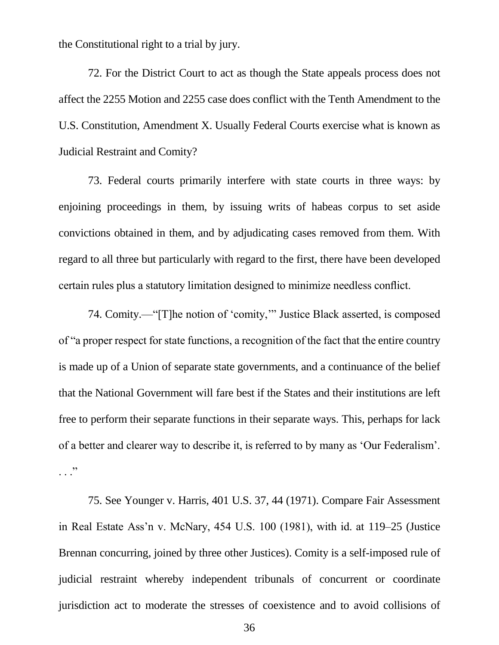the Constitutional right to a trial by jury.

72. For the District Court to act as though the State appeals process does not affect the 2255 Motion and 2255 case does conflict with the Tenth Amendment to the U.S. Constitution, Amendment X. Usually Federal Courts exercise what is known as Judicial Restraint and Comity?

73. Federal courts primarily interfere with state courts in three ways: by enjoining proceedings in them, by issuing writs of habeas corpus to set aside convictions obtained in them, and by adjudicating cases removed from them. With regard to all three but particularly with regard to the first, there have been developed certain rules plus a statutory limitation designed to minimize needless conflict.

74. Comity.—"[T]he notion of 'comity,'" Justice Black asserted, is composed of "a proper respect for state functions, a recognition of the fact that the entire country is made up of a Union of separate state governments, and a continuance of the belief that the National Government will fare best if the States and their institutions are left free to perform their separate functions in their separate ways. This, perhaps for lack of a better and clearer way to describe it, is referred to by many as 'Our Federalism'.  $\cdot$  . . .  $\cdot$ 

75. See Younger v. Harris, 401 U.S. 37, 44 (1971). Compare Fair Assessment in Real Estate Ass'n v. McNary, 454 U.S. 100 (1981), with id. at 119–25 (Justice Brennan concurring, joined by three other Justices). Comity is a self-imposed rule of judicial restraint whereby independent tribunals of concurrent or coordinate jurisdiction act to moderate the stresses of coexistence and to avoid collisions of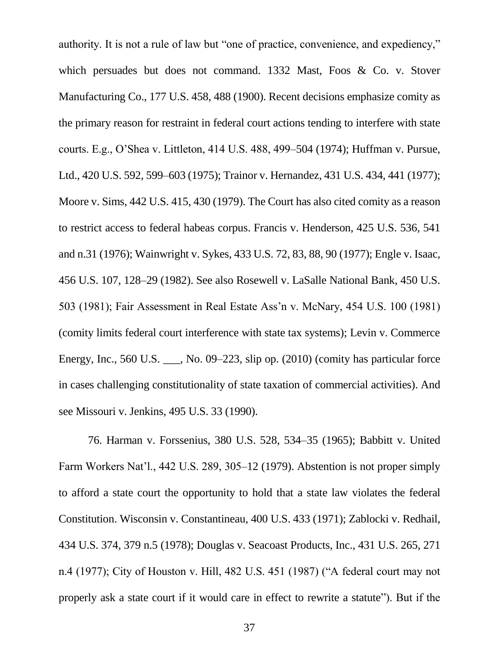authority. It is not a rule of law but "one of practice, convenience, and expediency," which persuades but does not command. 1332 Mast, Foos & Co. v. Stover Manufacturing Co., 177 U.S. 458, 488 (1900). Recent decisions emphasize comity as the primary reason for restraint in federal court actions tending to interfere with state courts. E.g., O'Shea v. Littleton, 414 U.S. 488, 499–504 (1974); Huffman v. Pursue, Ltd., 420 U.S. 592, 599–603 (1975); Trainor v. Hernandez, 431 U.S. 434, 441 (1977); Moore v. Sims, 442 U.S. 415, 430 (1979). The Court has also cited comity as a reason to restrict access to federal habeas corpus. Francis v. Henderson, 425 U.S. 536, 541 and n.31 (1976); Wainwright v. Sykes, 433 U.S. 72, 83, 88, 90 (1977); Engle v. Isaac, 456 U.S. 107, 128–29 (1982). See also Rosewell v. LaSalle National Bank, 450 U.S. 503 (1981); Fair Assessment in Real Estate Ass'n v. McNary, 454 U.S. 100 (1981) (comity limits federal court interference with state tax systems); Levin v. Commerce Energy, Inc., 560 U.S. \_\_\_, No. 09–223, slip op. (2010) (comity has particular force in cases challenging constitutionality of state taxation of commercial activities). And see Missouri v. Jenkins, 495 U.S. 33 (1990).

76. Harman v. Forssenius, 380 U.S. 528, 534–35 (1965); Babbitt v. United Farm Workers Nat'l., 442 U.S. 289, 305–12 (1979). Abstention is not proper simply to afford a state court the opportunity to hold that a state law violates the federal Constitution. Wisconsin v. Constantineau, 400 U.S. 433 (1971); Zablocki v. Redhail, 434 U.S. 374, 379 n.5 (1978); Douglas v. Seacoast Products, Inc., 431 U.S. 265, 271 n.4 (1977); City of Houston v. Hill, 482 U.S. 451 (1987) ("A federal court may not properly ask a state court if it would care in effect to rewrite a statute"). But if the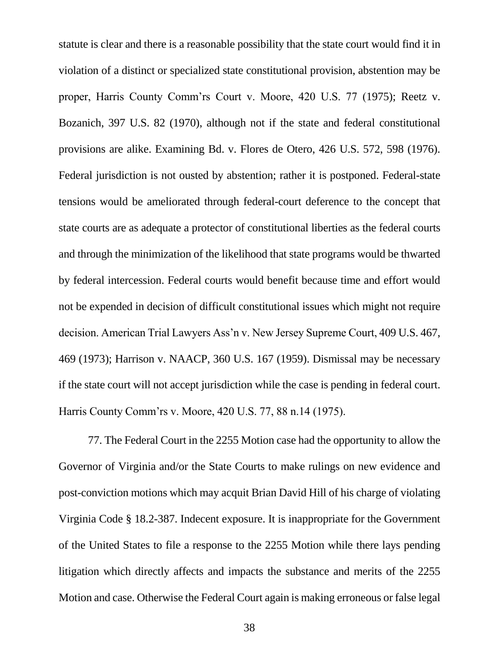statute is clear and there is a reasonable possibility that the state court would find it in violation of a distinct or specialized state constitutional provision, abstention may be proper, Harris County Comm'rs Court v. Moore, 420 U.S. 77 (1975); Reetz v. Bozanich, 397 U.S. 82 (1970), although not if the state and federal constitutional provisions are alike. Examining Bd. v. Flores de Otero, 426 U.S. 572, 598 (1976). Federal jurisdiction is not ousted by abstention; rather it is postponed. Federal-state tensions would be ameliorated through federal-court deference to the concept that state courts are as adequate a protector of constitutional liberties as the federal courts and through the minimization of the likelihood that state programs would be thwarted by federal intercession. Federal courts would benefit because time and effort would not be expended in decision of difficult constitutional issues which might not require decision. American Trial Lawyers Ass'n v. New Jersey Supreme Court, 409 U.S. 467, 469 (1973); Harrison v. NAACP, 360 U.S. 167 (1959). Dismissal may be necessary if the state court will not accept jurisdiction while the case is pending in federal court. Harris County Comm'rs v. Moore, 420 U.S. 77, 88 n.14 (1975).

77. The Federal Court in the 2255 Motion case had the opportunity to allow the Governor of Virginia and/or the State Courts to make rulings on new evidence and post-conviction motions which may acquit Brian David Hill of his charge of violating Virginia Code § 18.2-387. Indecent exposure. It is inappropriate for the Government of the United States to file a response to the 2255 Motion while there lays pending litigation which directly affects and impacts the substance and merits of the 2255 Motion and case. Otherwise the Federal Court again is making erroneous or false legal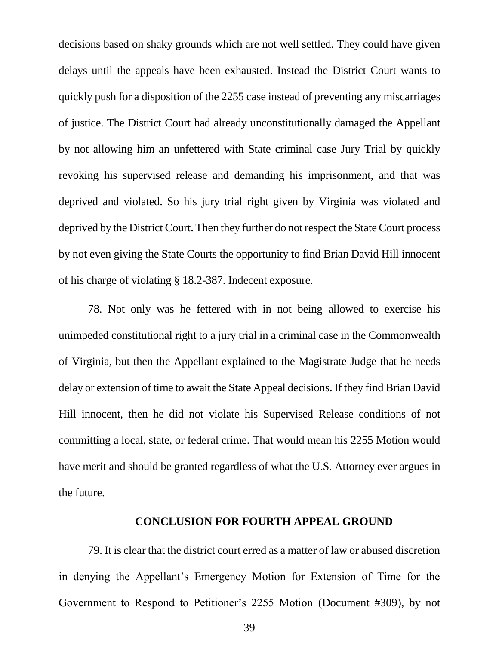decisions based on shaky grounds which are not well settled. They could have given delays until the appeals have been exhausted. Instead the District Court wants to quickly push for a disposition of the 2255 case instead of preventing any miscarriages of justice. The District Court had already unconstitutionally damaged the Appellant by not allowing him an unfettered with State criminal case Jury Trial by quickly revoking his supervised release and demanding his imprisonment, and that was deprived and violated. So his jury trial right given by Virginia was violated and deprived by the District Court. Then they further do not respect the State Court process by not even giving the State Courts the opportunity to find Brian David Hill innocent of his charge of violating § 18.2-387. Indecent exposure.

78. Not only was he fettered with in not being allowed to exercise his unimpeded constitutional right to a jury trial in a criminal case in the Commonwealth of Virginia, but then the Appellant explained to the Magistrate Judge that he needs delay or extension of time to await the State Appeal decisions. If they find Brian David Hill innocent, then he did not violate his Supervised Release conditions of not committing a local, state, or federal crime. That would mean his 2255 Motion would have merit and should be granted regardless of what the U.S. Attorney ever argues in the future.

#### **CONCLUSION FOR FOURTH APPEAL GROUND**

79. It is clear that the district court erred as a matter of law or abused discretion in denying the Appellant's Emergency Motion for Extension of Time for the Government to Respond to Petitioner's 2255 Motion (Document #309), by not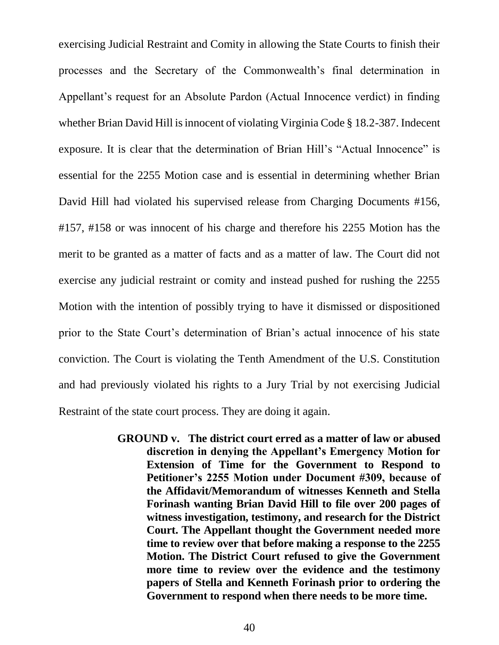exercising Judicial Restraint and Comity in allowing the State Courts to finish their processes and the Secretary of the Commonwealth's final determination in Appellant's request for an Absolute Pardon (Actual Innocence verdict) in finding whether Brian David Hill is innocent of violating Virginia Code § 18.2-387. Indecent exposure. It is clear that the determination of Brian Hill's "Actual Innocence" is essential for the 2255 Motion case and is essential in determining whether Brian David Hill had violated his supervised release from Charging Documents #156, #157, #158 or was innocent of his charge and therefore his 2255 Motion has the merit to be granted as a matter of facts and as a matter of law. The Court did not exercise any judicial restraint or comity and instead pushed for rushing the 2255 Motion with the intention of possibly trying to have it dismissed or dispositioned prior to the State Court's determination of Brian's actual innocence of his state conviction. The Court is violating the Tenth Amendment of the U.S. Constitution and had previously violated his rights to a Jury Trial by not exercising Judicial Restraint of the state court process. They are doing it again.

> **GROUND v. The district court erred as a matter of law or abused discretion in denying the Appellant's Emergency Motion for Extension of Time for the Government to Respond to Petitioner's 2255 Motion under Document #309, because of the Affidavit/Memorandum of witnesses Kenneth and Stella Forinash wanting Brian David Hill to file over 200 pages of witness investigation, testimony, and research for the District Court. The Appellant thought the Government needed more time to review over that before making a response to the 2255 Motion. The District Court refused to give the Government more time to review over the evidence and the testimony papers of Stella and Kenneth Forinash prior to ordering the Government to respond when there needs to be more time.**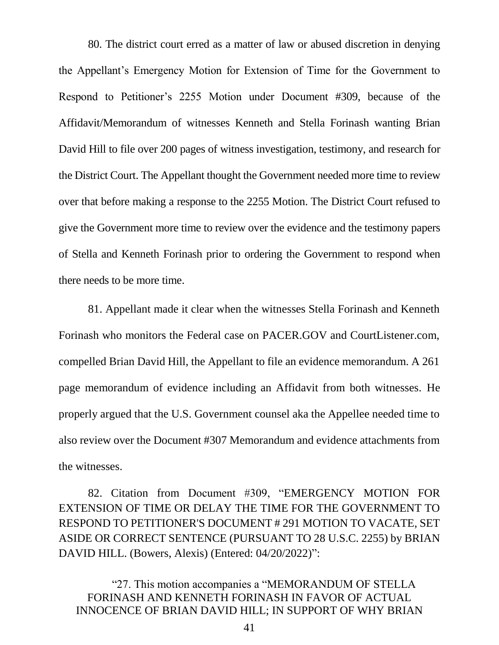80. The district court erred as a matter of law or abused discretion in denying the Appellant's Emergency Motion for Extension of Time for the Government to Respond to Petitioner's 2255 Motion under Document #309, because of the Affidavit/Memorandum of witnesses Kenneth and Stella Forinash wanting Brian David Hill to file over 200 pages of witness investigation, testimony, and research for the District Court. The Appellant thought the Government needed more time to review over that before making a response to the 2255 Motion. The District Court refused to give the Government more time to review over the evidence and the testimony papers of Stella and Kenneth Forinash prior to ordering the Government to respond when there needs to be more time.

81. Appellant made it clear when the witnesses Stella Forinash and Kenneth Forinash who monitors the Federal case on PACER.GOV and CourtListener.com, compelled Brian David Hill, the Appellant to file an evidence memorandum. A 261 page memorandum of evidence including an Affidavit from both witnesses. He properly argued that the U.S. Government counsel aka the Appellee needed time to also review over the Document #307 Memorandum and evidence attachments from the witnesses.

82. Citation from Document #309, "EMERGENCY MOTION FOR EXTENSION OF TIME OR DELAY THE TIME FOR THE GOVERNMENT TO RESPOND TO PETITIONER'S DOCUMENT # 291 MOTION TO VACATE, SET ASIDE OR CORRECT SENTENCE (PURSUANT TO 28 U.S.C. 2255) by BRIAN DAVID HILL. (Bowers, Alexis) (Entered: 04/20/2022)":

"27. This motion accompanies a "MEMORANDUM OF STELLA FORINASH AND KENNETH FORINASH IN FAVOR OF ACTUAL INNOCENCE OF BRIAN DAVID HILL; IN SUPPORT OF WHY BRIAN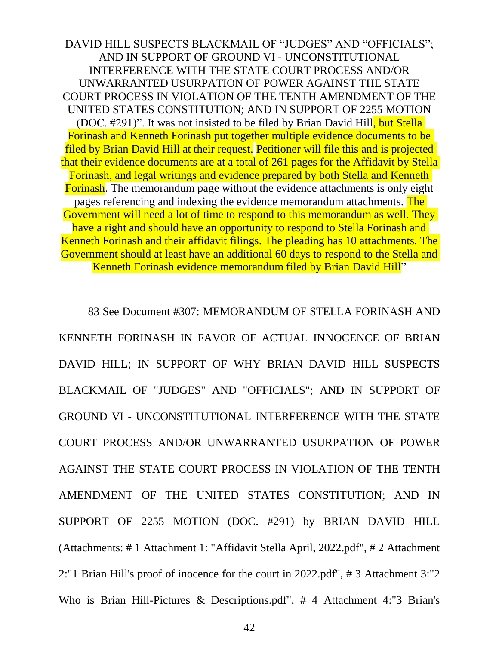DAVID HILL SUSPECTS BLACKMAIL OF "JUDGES" AND "OFFICIALS"; AND IN SUPPORT OF GROUND VI - UNCONSTITUTIONAL INTERFERENCE WITH THE STATE COURT PROCESS AND/OR UNWARRANTED USURPATION OF POWER AGAINST THE STATE COURT PROCESS IN VIOLATION OF THE TENTH AMENDMENT OF THE UNITED STATES CONSTITUTION; AND IN SUPPORT OF 2255 MOTION (DOC. #291)". It was not insisted to be filed by Brian David Hill, but Stella Forinash and Kenneth Forinash put together multiple evidence documents to be filed by Brian David Hill at their request. Petitioner will file this and is projected that their evidence documents are at a total of 261 pages for the Affidavit by Stella Forinash, and legal writings and evidence prepared by both Stella and Kenneth Forinash. The memorandum page without the evidence attachments is only eight pages referencing and indexing the evidence memorandum attachments. The Government will need a lot of time to respond to this memorandum as well. They have a right and should have an opportunity to respond to Stella Forinash and Kenneth Forinash and their affidavit filings. The pleading has 10 attachments. The Government should at least have an additional 60 days to respond to the Stella and Kenneth Forinash evidence memorandum filed by Brian David Hill"

83 See Document #307: MEMORANDUM OF STELLA FORINASH AND KENNETH FORINASH IN FAVOR OF ACTUAL INNOCENCE OF BRIAN DAVID HILL; IN SUPPORT OF WHY BRIAN DAVID HILL SUSPECTS BLACKMAIL OF "JUDGES" AND "OFFICIALS"; AND IN SUPPORT OF GROUND VI - UNCONSTITUTIONAL INTERFERENCE WITH THE STATE COURT PROCESS AND/OR UNWARRANTED USURPATION OF POWER AGAINST THE STATE COURT PROCESS IN VIOLATION OF THE TENTH AMENDMENT OF THE UNITED STATES CONSTITUTION; AND IN SUPPORT OF 2255 MOTION (DOC. #291) by BRIAN DAVID HILL (Attachments: # 1 Attachment 1: "Affidavit Stella April, 2022.pdf", # 2 Attachment 2:"1 Brian Hill's proof of inocence for the court in 2022.pdf", # 3 Attachment 3:"2 Who is Brian Hill-Pictures & Descriptions.pdf", # 4 Attachment 4:"3 Brian's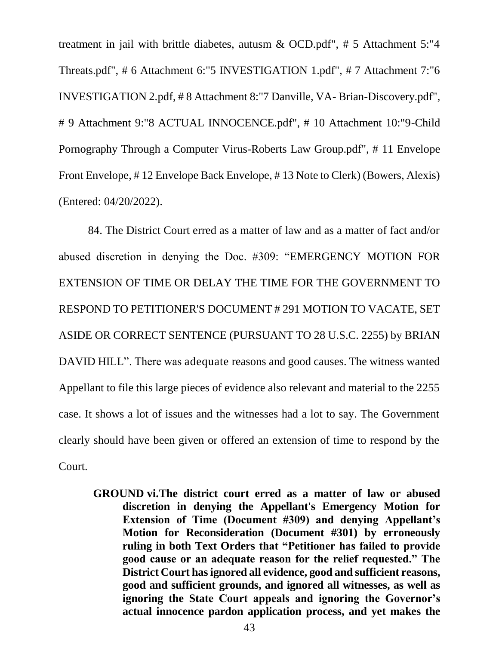treatment in jail with brittle diabetes, autusm  $\&$  OCD.pdf", # 5 Attachment 5:"4 Threats.pdf", # 6 Attachment 6:"5 INVESTIGATION 1.pdf", # 7 Attachment 7:"6 INVESTIGATION 2.pdf, # 8 Attachment 8:"7 Danville, VA- Brian-Discovery.pdf", # 9 Attachment 9:"8 ACTUAL INNOCENCE.pdf", # 10 Attachment 10:"9-Child Pornography Through a Computer Virus-Roberts Law Group.pdf", # 11 Envelope Front Envelope, # 12 Envelope Back Envelope, # 13 Note to Clerk) (Bowers, Alexis) (Entered: 04/20/2022).

84. The District Court erred as a matter of law and as a matter of fact and/or abused discretion in denying the Doc. #309: "EMERGENCY MOTION FOR EXTENSION OF TIME OR DELAY THE TIME FOR THE GOVERNMENT TO RESPOND TO PETITIONER'S DOCUMENT # 291 MOTION TO VACATE, SET ASIDE OR CORRECT SENTENCE (PURSUANT TO 28 U.S.C. 2255) by BRIAN DAVID HILL". There was adequate reasons and good causes. The witness wanted Appellant to file this large pieces of evidence also relevant and material to the 2255 case. It shows a lot of issues and the witnesses had a lot to say. The Government clearly should have been given or offered an extension of time to respond by the Court.

**GROUND vi.The district court erred as a matter of law or abused discretion in denying the Appellant's Emergency Motion for Extension of Time (Document #309) and denying Appellant's Motion for Reconsideration (Document #301) by erroneously ruling in both Text Orders that "Petitioner has failed to provide good cause or an adequate reason for the relief requested." The District Court has ignored all evidence, good and sufficient reasons, good and sufficient grounds, and ignored all witnesses, as well as ignoring the State Court appeals and ignoring the Governor's actual innocence pardon application process, and yet makes the**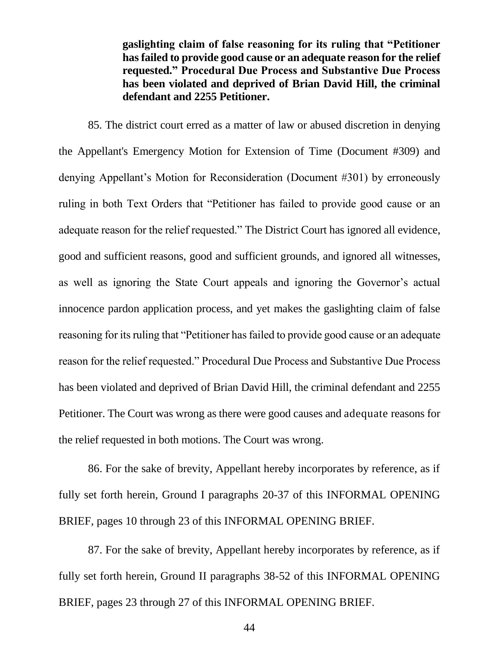**gaslighting claim of false reasoning for its ruling that "Petitioner has failed to provide good cause or an adequate reason for the relief requested." Procedural Due Process and Substantive Due Process has been violated and deprived of Brian David Hill, the criminal defendant and 2255 Petitioner.**

85. The district court erred as a matter of law or abused discretion in denying the Appellant's Emergency Motion for Extension of Time (Document #309) and denying Appellant's Motion for Reconsideration (Document #301) by erroneously ruling in both Text Orders that "Petitioner has failed to provide good cause or an adequate reason for the relief requested." The District Court has ignored all evidence, good and sufficient reasons, good and sufficient grounds, and ignored all witnesses, as well as ignoring the State Court appeals and ignoring the Governor's actual innocence pardon application process, and yet makes the gaslighting claim of false reasoning for its ruling that "Petitioner has failed to provide good cause or an adequate reason for the relief requested." Procedural Due Process and Substantive Due Process has been violated and deprived of Brian David Hill, the criminal defendant and 2255 Petitioner. The Court was wrong as there were good causes and adequate reasons for the relief requested in both motions. The Court was wrong.

86. For the sake of brevity, Appellant hereby incorporates by reference, as if fully set forth herein, Ground I paragraphs 20-37 of this INFORMAL OPENING BRIEF, pages 10 through 23 of this INFORMAL OPENING BRIEF.

87. For the sake of brevity, Appellant hereby incorporates by reference, as if fully set forth herein, Ground II paragraphs 38-52 of this INFORMAL OPENING BRIEF, pages 23 through 27 of this INFORMAL OPENING BRIEF.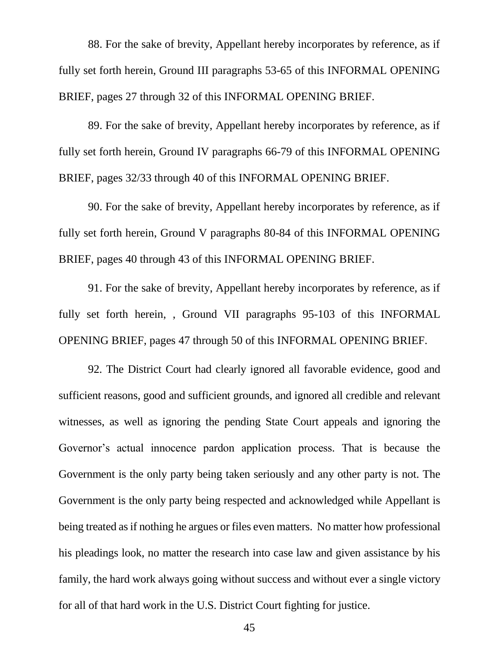88. For the sake of brevity, Appellant hereby incorporates by reference, as if fully set forth herein, Ground III paragraphs 53-65 of this INFORMAL OPENING BRIEF, pages 27 through 32 of this INFORMAL OPENING BRIEF.

89. For the sake of brevity, Appellant hereby incorporates by reference, as if fully set forth herein, Ground IV paragraphs 66-79 of this INFORMAL OPENING BRIEF, pages 32/33 through 40 of this INFORMAL OPENING BRIEF.

90. For the sake of brevity, Appellant hereby incorporates by reference, as if fully set forth herein, Ground V paragraphs 80-84 of this INFORMAL OPENING BRIEF, pages 40 through 43 of this INFORMAL OPENING BRIEF.

91. For the sake of brevity, Appellant hereby incorporates by reference, as if fully set forth herein, , Ground VII paragraphs 95-103 of this INFORMAL OPENING BRIEF, pages 47 through 50 of this INFORMAL OPENING BRIEF.

92. The District Court had clearly ignored all favorable evidence, good and sufficient reasons, good and sufficient grounds, and ignored all credible and relevant witnesses, as well as ignoring the pending State Court appeals and ignoring the Governor's actual innocence pardon application process. That is because the Government is the only party being taken seriously and any other party is not. The Government is the only party being respected and acknowledged while Appellant is being treated as if nothing he argues or files even matters. No matter how professional his pleadings look, no matter the research into case law and given assistance by his family, the hard work always going without success and without ever a single victory for all of that hard work in the U.S. District Court fighting for justice.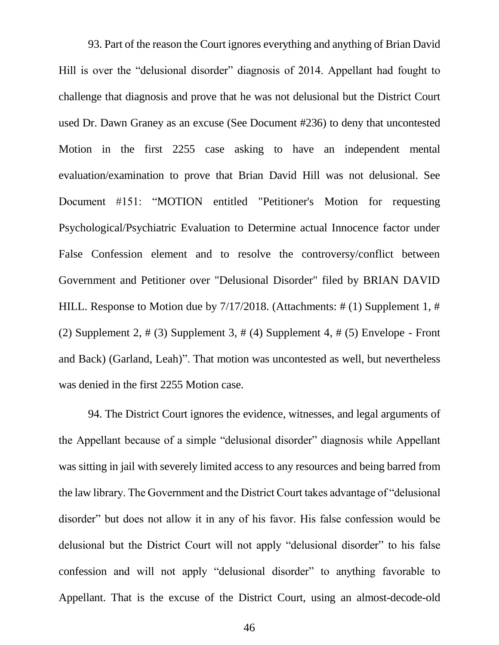93. Part of the reason the Court ignores everything and anything of Brian David Hill is over the "delusional disorder" diagnosis of 2014. Appellant had fought to challenge that diagnosis and prove that he was not delusional but the District Court used Dr. Dawn Graney as an excuse (See Document #236) to deny that uncontested Motion in the first 2255 case asking to have an independent mental evaluation/examination to prove that Brian David Hill was not delusional. See Document #151: "MOTION entitled "Petitioner's Motion for requesting Psychological/Psychiatric Evaluation to Determine actual Innocence factor under False Confession element and to resolve the controversy/conflict between Government and Petitioner over "Delusional Disorder" filed by BRIAN DAVID HILL. Response to Motion due by 7/17/2018. (Attachments: # (1) Supplement 1, # (2) Supplement 2,  $\#$  (3) Supplement 3,  $\#$  (4) Supplement 4,  $\#$  (5) Envelope - Front and Back) (Garland, Leah)". That motion was uncontested as well, but nevertheless was denied in the first 2255 Motion case.

94. The District Court ignores the evidence, witnesses, and legal arguments of the Appellant because of a simple "delusional disorder" diagnosis while Appellant was sitting in jail with severely limited access to any resources and being barred from the law library. The Government and the District Court takes advantage of "delusional disorder" but does not allow it in any of his favor. His false confession would be delusional but the District Court will not apply "delusional disorder" to his false confession and will not apply "delusional disorder" to anything favorable to Appellant. That is the excuse of the District Court, using an almost-decode-old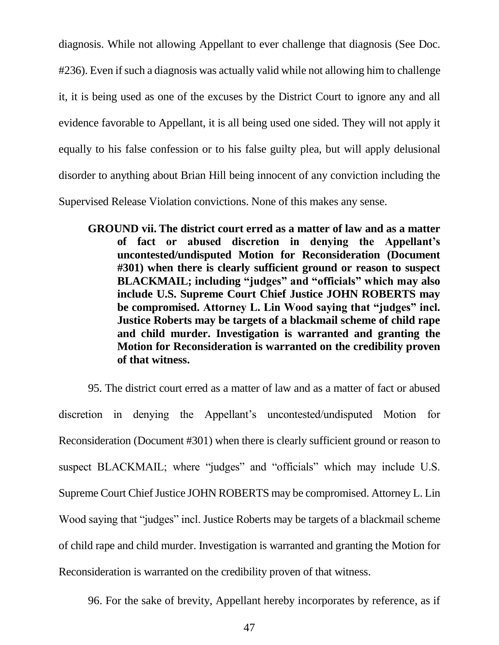diagnosis. While not allowing Appellant to ever challenge that diagnosis (See Doc.

#236). Even if such a diagnosis was actually valid while not allowing him to challenge

it, it is being used as one of the excuses by the District Court to ignore any and all

evidence favorable to Appellant, it is all being used one sided. They will not apply it

equally to his false confession or to his false guilty plea, but will apply delusional

disorder to anything about Brian Hill being innocent of any conviction including the

Supervised Release Violation convictions. None of this makes any sense.

**GROUND vii. The district court erred as a matter of law and as a matter of fact or abused discretion in denying the Appellant's uncontested/undisputed Motion for Reconsideration (Document #301) when there is clearly sufficient ground or reason to suspect BLACKMAIL; including "judges" and "officials" which may also include U.S. Supreme Court Chief Justice JOHN ROBERTS may be compromised. Attorney L. Lin Wood saying that "judges" incl. Justice Roberts may be targets of a blackmail scheme of child rape and child murder. Investigation is warranted and granting the Motion for Reconsideration is warranted on the credibility proven of that witness.**

95. The district court erred as a matter of law and as a matter of fact or abused discretion in denying the Appellant's uncontested/undisputed Motion for Reconsideration (Document #301) when there is clearly sufficient ground or reason to suspect BLACKMAIL; where "judges" and "officials" which may include U.S. Supreme Court Chief Justice JOHN ROBERTS may be compromised. Attorney L. Lin Wood saying that "judges" incl. Justice Roberts may be targets of a blackmail scheme of child rape and child murder. Investigation is warranted and granting the Motion for Reconsideration is warranted on the credibility proven of that witness.

96. For the sake of brevity, Appellant hereby incorporates by reference, as if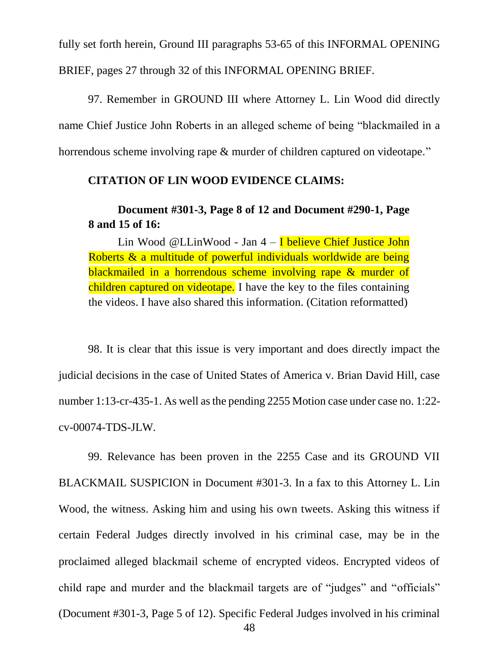fully set forth herein, Ground III paragraphs 53-65 of this INFORMAL OPENING BRIEF, pages 27 through 32 of this INFORMAL OPENING BRIEF.

97. Remember in GROUND III where Attorney L. Lin Wood did directly name Chief Justice John Roberts in an alleged scheme of being "blackmailed in a horrendous scheme involving rape & murder of children captured on videotape."

## **CITATION OF LIN WOOD EVIDENCE CLAIMS:**

## **Document #301-3, Page 8 of 12 and Document #290-1, Page 8 and 15 of 16:**

Lin Wood @LLinWood - Jan 4 – I believe Chief Justice John Roberts & a multitude of powerful individuals worldwide are being blackmailed in a horrendous scheme involving rape & murder of children captured on videotape. I have the key to the files containing the videos. I have also shared this information. (Citation reformatted)

98. It is clear that this issue is very important and does directly impact the judicial decisions in the case of United States of America v. Brian David Hill, case number 1:13-cr-435-1. As well as the pending 2255 Motion case under case no. 1:22 cv-00074-TDS-JLW.

99. Relevance has been proven in the 2255 Case and its GROUND VII BLACKMAIL SUSPICION in Document #301-3. In a fax to this Attorney L. Lin Wood, the witness. Asking him and using his own tweets. Asking this witness if certain Federal Judges directly involved in his criminal case, may be in the proclaimed alleged blackmail scheme of encrypted videos. Encrypted videos of child rape and murder and the blackmail targets are of "judges" and "officials" (Document #301-3, Page 5 of 12). Specific Federal Judges involved in his criminal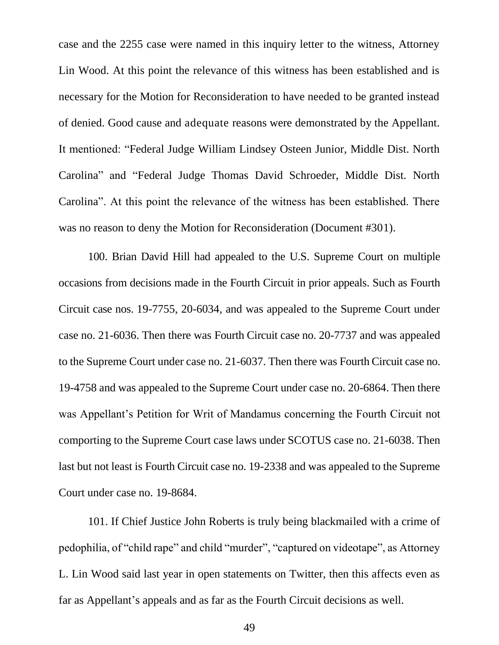case and the 2255 case were named in this inquiry letter to the witness, Attorney Lin Wood. At this point the relevance of this witness has been established and is necessary for the Motion for Reconsideration to have needed to be granted instead of denied. Good cause and adequate reasons were demonstrated by the Appellant. It mentioned: "Federal Judge William Lindsey Osteen Junior, Middle Dist. North Carolina" and "Federal Judge Thomas David Schroeder, Middle Dist. North Carolina". At this point the relevance of the witness has been established. There was no reason to deny the Motion for Reconsideration (Document #301).

100. Brian David Hill had appealed to the U.S. Supreme Court on multiple occasions from decisions made in the Fourth Circuit in prior appeals. Such as Fourth Circuit case nos. 19-7755, 20-6034, and was appealed to the Supreme Court under case no. 21-6036. Then there was Fourth Circuit case no. 20-7737 and was appealed to the Supreme Court under case no. 21-6037. Then there was Fourth Circuit case no. 19-4758 and was appealed to the Supreme Court under case no. 20-6864. Then there was Appellant's Petition for Writ of Mandamus concerning the Fourth Circuit not comporting to the Supreme Court case laws under SCOTUS case no. 21-6038. Then last but not least is Fourth Circuit case no. 19-2338 and was appealed to the Supreme Court under case no. 19-8684.

101. If Chief Justice John Roberts is truly being blackmailed with a crime of pedophilia, of "child rape" and child "murder", "captured on videotape", as Attorney L. Lin Wood said last year in open statements on Twitter, then this affects even as far as Appellant's appeals and as far as the Fourth Circuit decisions as well.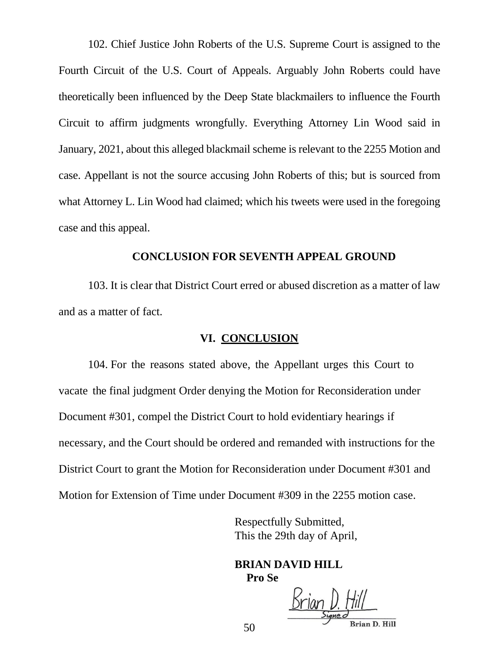102. Chief Justice John Roberts of the U.S. Supreme Court is assigned to the Fourth Circuit of the U.S. Court of Appeals. Arguably John Roberts could have theoretically been influenced by the Deep State blackmailers to influence the Fourth Circuit to affirm judgments wrongfully. Everything Attorney Lin Wood said in January, 2021, about this alleged blackmail scheme is relevant to the 2255 Motion and case. Appellant is not the source accusing John Roberts of this; but is sourced from what Attorney L. Lin Wood had claimed; which his tweets were used in the foregoing case and this appeal.

#### **CONCLUSION FOR SEVENTH APPEAL GROUND**

103. It is clear that District Court erred or abused discretion as a matter of law and as a matter of fact.

#### **VI. CONCLUSION**

104. For the reasons stated above, the Appellant urges this Court to vacate the final judgment Order denying the Motion for Reconsideration under Document #301, compel the District Court to hold evidentiary hearings if necessary, and the Court should be ordered and remanded with instructions for the District Court to grant the Motion for Reconsideration under Document #301 and Motion for Extension of Time under Document #309 in the 2255 motion case.

> Respectfully Submitted, This the 29th day of April,

**BRIAN DAVID HILL Pro Se**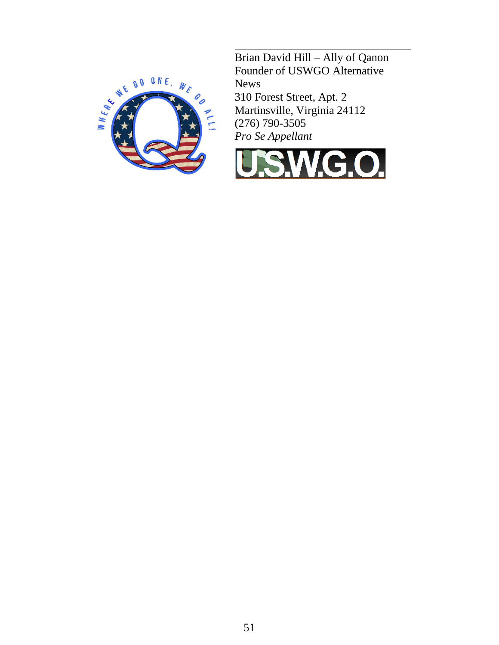

Brian David Hill – Ally of Qanon Founder of USWGO Alternative News 310 Forest Street, Apt. 2 Martinsville, Virginia 24112 (276) 790-3505 *Pro Se Appellant*

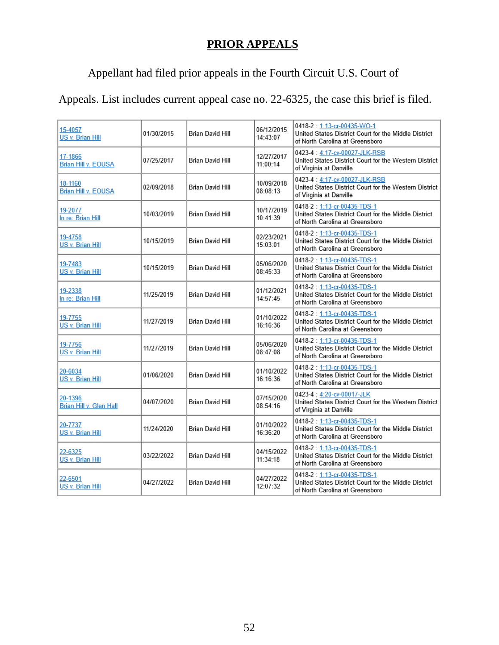# **PRIOR APPEALS**

# Appellant had filed prior appeals in the Fourth Circuit U.S. Court of

# Appeals. List includes current appeal case no. 22-6325, the case this brief is filed.

| 15-4057<br>US v. Brian Hill           | 01/30/2015 | Brian David Hill        | 06/12/2015<br>14:43:07 | 0418-2: 1:13-cr-00435-WO-1<br>United States District Court for the Middle District<br>of North Carolina at Greensboro  |
|---------------------------------------|------------|-------------------------|------------------------|------------------------------------------------------------------------------------------------------------------------|
| 17-1866<br><b>Brian Hill v. EOUSA</b> | 07/25/2017 | Brian David Hill        | 12/27/2017<br>11:00:14 | 0423-4:4:17-cv-00027-JLK-RSB<br>United States District Court for the Western District<br>of Virginia at Danville       |
| 18-1160<br>Brian Hill v. EOUSA        | 02/09/2018 | Brian David Hill        | 10/09/2018<br>08:08:13 | 0423-4:4:17-cv-00027-JLK-RSB<br>United States District Court for the Western District<br>of Virginia at Danville       |
| 19-2077<br>In re: Brian Hill          | 10/03/2019 | <b>Brian David Hill</b> | 10/17/2019<br>10:41:39 | 0418-2: 1:13-cr-00435-TDS-1<br>United States District Court for the Middle District<br>of North Carolina at Greensboro |
| 19-4758<br>US v. Brian Hill           | 10/15/2019 | Brian David Hill        | 02/23/2021<br>15:03:01 | 0418-2: 1:13-cr-00435-TDS-1<br>United States District Court for the Middle District<br>of North Carolina at Greensboro |
| 19-7483<br>US v. Brian Hill           | 10/15/2019 | Brian David Hill        | 05/06/2020<br>08:45:33 | 0418-2: 1:13-cr-00435-TDS-1<br>United States District Court for the Middle District<br>of North Carolina at Greensboro |
| 19-2338<br>In re: Brian Hill          | 11/25/2019 | Brian David Hill        | 01/12/2021<br>14:57:45 | 0418-2: 1:13-cr-00435-TDS-1<br>United States District Court for the Middle District<br>of North Carolina at Greensboro |
| 19-7755<br>US v. Brian Hill           | 11/27/2019 | Brian David Hill        | 01/10/2022<br>16:16:36 | 0418-2: 1:13-cr-00435-TDS-1<br>United States District Court for the Middle District<br>of North Carolina at Greensboro |
| 19-7756<br>US v. Brian Hill           | 11/27/2019 | <b>Brian David Hill</b> | 05/06/2020<br>08:47:08 | 0418-2: 1:13-cr-00435-TDS-1<br>United States District Court for the Middle District<br>of North Carolina at Greensboro |
| 20-6034<br>US v. Brian Hill           | 01/06/2020 | Brian David Hill        | 01/10/2022<br>16:16:36 | 0418-2: 1:13-cr-00435-TDS-1<br>United States District Court for the Middle District<br>of North Carolina at Greensboro |
| 20-1396<br>Brian Hill v. Glen Hall    | 04/07/2020 | Brian David Hill        | 07/15/2020<br>08:54:16 | 0423-4:4:20-cv-00017-JLK<br>United States District Court for the Western District<br>of Virginia at Danville           |
| 20-7737<br>US v. Brian Hill           | 11/24/2020 | Brian David Hill        | 01/10/2022<br>16:36:20 | 0418-2: 1:13-cr-00435-TDS-1<br>United States District Court for the Middle District<br>of North Carolina at Greensboro |
| 22-6325<br>US v. Brian Hill           | 03/22/2022 | Brian David Hill        | 04/15/2022<br>11:34:18 | 0418-2: 1:13-cr-00435-TDS-1<br>United States District Court for the Middle District<br>of North Carolina at Greensboro |
| 22-6501<br>US v. Brian Hill           | 04/27/2022 | <b>Brian David Hill</b> | 04/27/2022<br>12:07:32 | 0418-2: 1:13-cr-00435-TDS-1<br>United States District Court for the Middle District<br>of North Carolina at Greensboro |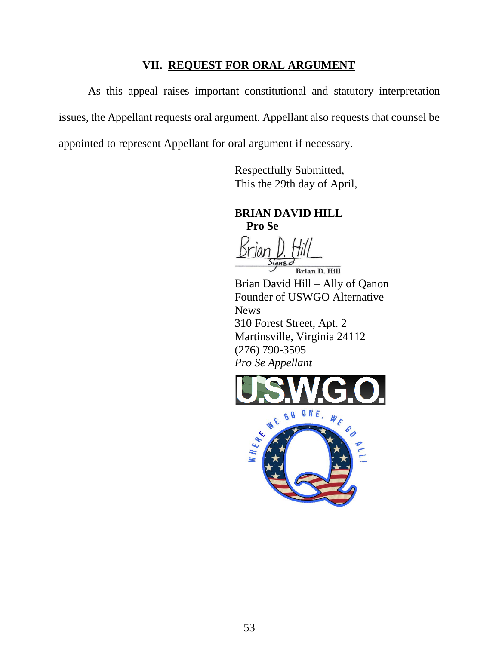### **VII. REQUEST FOR ORAL ARGUMENT**

As this appeal raises important constitutional and statutory interpretation issues, the Appellant requests oral argument. Appellant also requests that counsel be appointed to represent Appellant for oral argument if necessary.

> Respectfully Submitted, This the 29th day of April,

**BRIAN DAVID HILL Pro Se**

Brian D. Hill

Brian David Hill – Ally of Qanon Founder of USWGO Alternative **News** 310 Forest Street, Apt. 2 Martinsville, Virginia 24112 (276) 790-3505 *Pro Se Appellant*

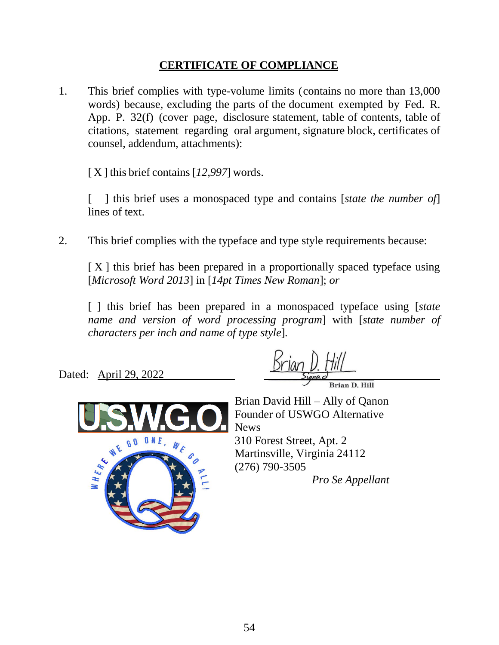## **CERTIFICATE OF COMPLIANCE**

1. This brief complies with type-volume limits (contains no more than 13,000 words) because, excluding the parts of the document exempted by Fed. R. App. P. 32(f) (cover page, disclosure statement, table of contents, table of citations, statement regarding oral argument, signature block, certificates of counsel, addendum, attachments):

[ X ] this brief contains [*12,997*] words.

[ ] this brief uses a monospaced type and contains [*state the number of*] lines of text.

2. This brief complies with the typeface and type style requirements because:

 $[X]$  this brief has been prepared in a proportionally spaced typeface using [*Microsoft Word 2013*] in [*14pt Times New Roman*]; *or*

[ ] this brief has been prepared in a monospaced typeface using [*state name and version of word processing program*] with [*state number of characters per inch and name of type style*].

Dated: April 29, 2022



Brian David Hill – Ally of Qanon Founder of USWGO Alternative News 310 Forest Street, Apt. 2 Martinsville, Virginia 24112 (276) 790-3505

*Pro Se Appellant*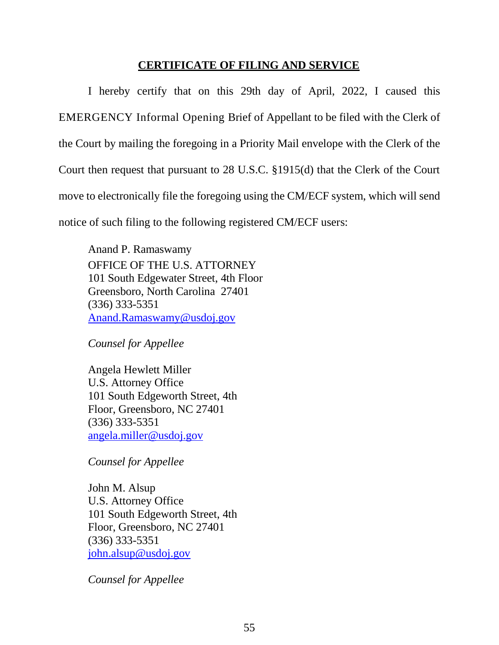### **CERTIFICATE OF FILING AND SERVICE**

I hereby certify that on this 29th day of April, 2022, I caused this EMERGENCY Informal Opening Brief of Appellant to be filed with the Clerk of the Court by mailing the foregoing in a Priority Mail envelope with the Clerk of the Court then request that pursuant to 28 U.S.C. §1915(d) that the Clerk of the Court move to electronically file the foregoing using the CM/ECF system, which will send notice of such filing to the following registered CM/ECF users:

Anand P. Ramaswamy OFFICE OF THE U.S. ATTORNEY 101 South Edgewater Street, 4th Floor Greensboro, North Carolina 27401 (336) 333-5351 [Anand.Ramaswamy@usdoj.gov](mailto:Anand.Ramaswamy@usdoj.gov)

*Counsel for Appellee*

Angela Hewlett Miller U.S. Attorney Office 101 South Edgeworth Street, 4th Floor, Greensboro, NC 27401 (336) 333-5351 [angela.miller@usdoj.gov](mailto:angela.miller@usdoj.gov)

*Counsel for Appellee*

John M. Alsup U.S. Attorney Office 101 South Edgeworth Street, 4th Floor, Greensboro, NC 27401 (336) 333-5351 [john.alsup@usdoj.gov](mailto:john.alsup@usdoj.gov)

*Counsel for Appellee*